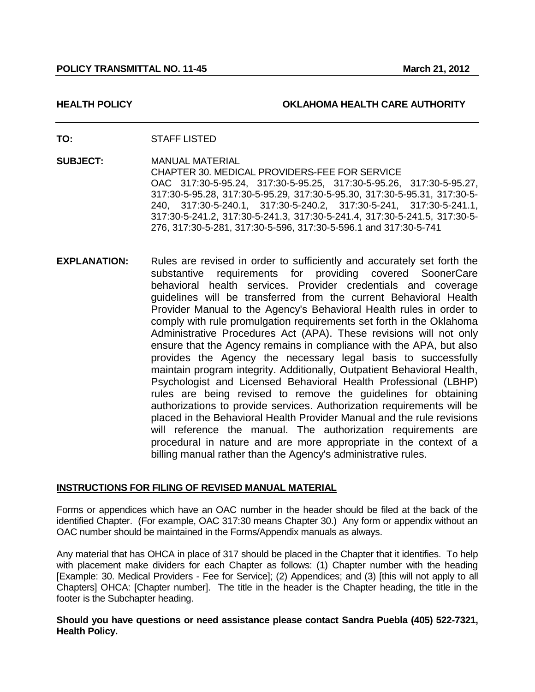#### **POLICY TRANSMITTAL NO. 11-45 March 21, 2012 March 21, 2012**

#### **HEALTH POLICY OKLAHOMA HEALTH CARE AUTHORITY**

- **TO:** STAFF LISTED
- **SUBJECT:** MANUAL MATERIAL CHAPTER 30. MEDICAL PROVIDERS-FEE FOR SERVICE OAC 317:30-5-95.24, 317:30-5-95.25, 317:30-5-95.26, 317:30-5-95.27, 317:30-5-95.28, 317:30-5-95.29, 317:30-5-95.30, 317:30-5-95.31, 317:30-5- 240, 317:30-5-240.1, 317:30-5-240.2, 317:30-5-241, 317:30-5-241.1, 317:30-5-241.2, 317:30-5-241.3, 317:30-5-241.4, 317:30-5-241.5, 317:30-5- 276, 317:30-5-281, 317:30-5-596, 317:30-5-596.1 and 317:30-5-741
- **EXPLANATION:** Rules are revised in order to sufficiently and accurately set forth the substantive requirements for providing covered SoonerCare behavioral health services. Provider credentials and coverage guidelines will be transferred from the current Behavioral Health Provider Manual to the Agency's Behavioral Health rules in order to comply with rule promulgation requirements set forth in the Oklahoma Administrative Procedures Act (APA). These revisions will not only ensure that the Agency remains in compliance with the APA, but also provides the Agency the necessary legal basis to successfully maintain program integrity. Additionally, Outpatient Behavioral Health, Psychologist and Licensed Behavioral Health Professional (LBHP) rules are being revised to remove the guidelines for obtaining authorizations to provide services. Authorization requirements will be placed in the Behavioral Health Provider Manual and the rule revisions will reference the manual. The authorization requirements are procedural in nature and are more appropriate in the context of a billing manual rather than the Agency's administrative rules.

#### **INSTRUCTIONS FOR FILING OF REVISED MANUAL MATERIAL**

Forms or appendices which have an OAC number in the header should be filed at the back of the identified Chapter. (For example, OAC 317:30 means Chapter 30.) Any form or appendix without an OAC number should be maintained in the Forms/Appendix manuals as always.

Any material that has OHCA in place of 317 should be placed in the Chapter that it identifies. To help with placement make dividers for each Chapter as follows: (1) Chapter number with the heading [Example: 30. Medical Providers - Fee for Service]; (2) Appendices; and (3) [this will not apply to all Chapters] OHCA: [Chapter number]. The title in the header is the Chapter heading, the title in the footer is the Subchapter heading.

**Should you have questions or need assistance please contact Sandra Puebla (405) 522-7321, Health Policy.**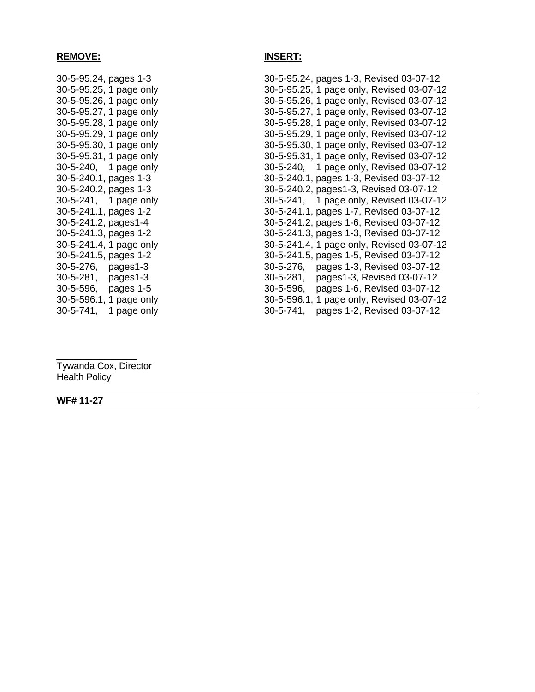#### **REMOVE: INSERT:**

30-5-95.24, pages 1-3 30-5-95.24, pages 1-3, Revised 03-07-12 30-5-95.25, 1 page only 30-5-95.25, 1 page only, Revised 03-07-12 30-5-95.26, 1 page only 30-5-95.26, 1 page only, Revised 03-07-12 30-5-95.27, 1 page only 30-5-95.27, 1 page only, Revised 03-07-12 30-5-95.28, 1 page only 30-5-95.28, 1 page only, Revised 03-07-12 30-5-95.29, 1 page only 30-5-95.29, 1 page only, Revised 03-07-12 30-5-95.30, 1 page only 30-5-95.30, 1 page only, Revised 03-07-12 30-5-95.31, 1 page only 30-5-95.31, 1 page only, Revised 03-07-12 30-5-240, 1 page only 30-5-240, 1 page only, Revised 03-07-12 30-5-240.1, pages 1-3 30-5-240.1, pages 1-3, Revised 03-07-12 30-5-240.2, pages 1-3 30-5-240.2, pages1-3, Revised 03-07-12 30-5-241, 1 page only 30-5-241, 1 page only, Revised 03-07-12 30-5-241.1, pages 1-2 30-5-241.1, pages 1-7, Revised 03-07-12 30-5-241.2, pages1-4 30-5-241.2, pages 1-6, Revised 03-07-12 30-5-241.3, pages 1-2 30-5-241.3, pages 1-3, Revised 03-07-12 30-5-241.4, 1 page only 30-5-241.4, 1 page only, Revised 03-07-12 30-5-241.5, pages 1-2 30-5-241.5, pages 1-5, Revised 03-07-12 30-5-276, pages1-3 30-5-276, pages 1-3, Revised 03-07-12 30-5-281, pages1-3 30-5-281, pages1-3, Revised 03-07-12 30-5-596, pages 1-5 30-5-596, pages 1-6, Revised 03-07-12 30-5-596.1, 1 page only, Revised 03-07-12 30-5-741, 1 page only 30-5-741, pages 1-2, Revised 03-07-12

Tywanda Cox, Director Health Policy

\_\_\_\_\_\_\_\_\_\_\_\_\_\_\_

**WF# 11-27**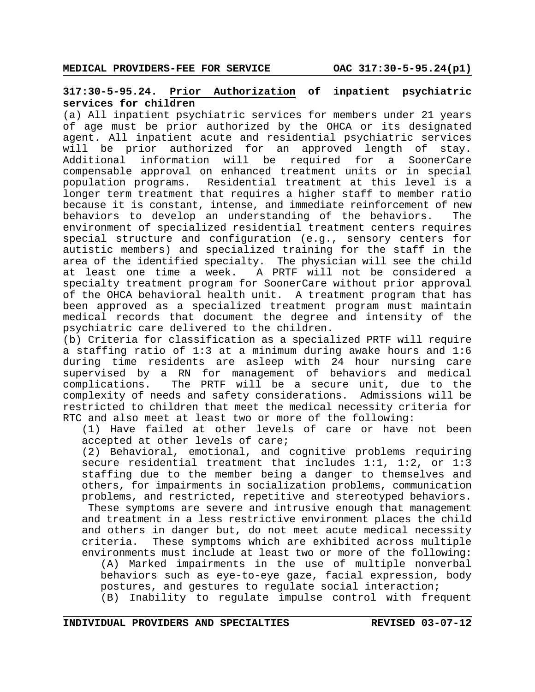## **317:30-5-95.24. Prior Authorization of inpatient psychiatric services for children**

(a) All inpatient psychiatric services for members under 21 years of age must be prior authorized by the OHCA or its designated agent. All inpatient acute and residential psychiatric services will be prior authorized for an approved length of stay. Additional information will be required for a SoonerCare compensable approval on enhanced treatment units or in special population programs. Residential treatment at this level is a longer term treatment that requires a higher staff to member ratio because it is constant, intense, and immediate reinforcement of new behaviors to develop an understanding of the behaviors. The environment of specialized residential treatment centers requires special structure and configuration (e.g., sensory centers for autistic members) and specialized training for the staff in the area of the identified specialty. The physician will see the child at least one time a week. A PRTF will not be considered a specialty treatment program for SoonerCare without prior approval of the OHCA behavioral health unit. A treatment program that has been approved as a specialized treatment program must maintain medical records that document the degree and intensity of the psychiatric care delivered to the children.

(b) Criteria for classification as a specialized PRTF will require a staffing ratio of 1:3 at a minimum during awake hours and 1:6 during time residents are asleep with 24 hour nursing care supervised by a RN for management of behaviors and medical complications. The PRTF will be a secure unit, due to the complexity of needs and safety considerations. Admissions will be restricted to children that meet the medical necessity criteria for RTC and also meet at least two or more of the following:

(1) Have failed at other levels of care or have not been accepted at other levels of care;

(2) Behavioral, emotional, and cognitive problems requiring secure residential treatment that includes 1:1, 1:2, or 1:3 staffing due to the member being a danger to themselves and others, for impairments in socialization problems, communication problems, and restricted, repetitive and stereotyped behaviors.

These symptoms are severe and intrusive enough that management and treatment in a less restrictive environment places the child and others in danger but, do not meet acute medical necessity criteria. These symptoms which are exhibited across multiple environments must include at least two or more of the following:

(A) Marked impairments in the use of multiple nonverbal behaviors such as eye-to-eye gaze, facial expression, body postures, and gestures to regulate social interaction; (B) Inability to regulate impulse control with frequent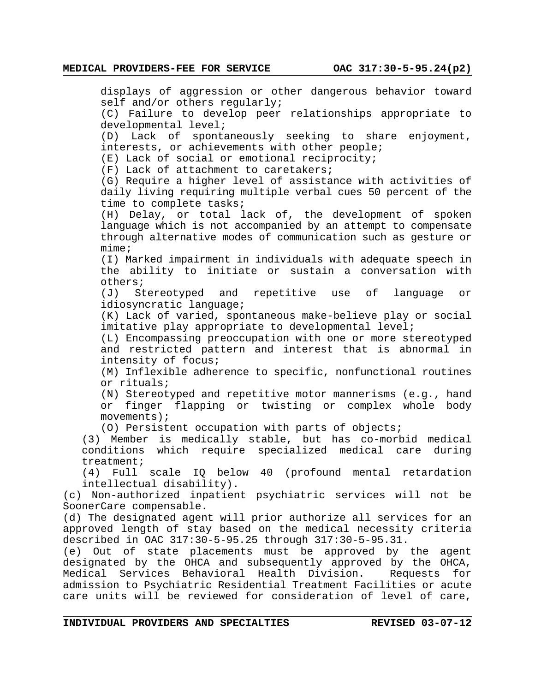displays of aggression or other dangerous behavior toward self and/or others regularly; (C) Failure to develop peer relationships appropriate to developmental level; (D) Lack of spontaneously seeking to share enjoyment, interests, or achievements with other people; (E) Lack of social or emotional reciprocity; (F) Lack of attachment to caretakers; (G) Require a higher level of assistance with activities of daily living requiring multiple verbal cues 50 percent of the time to complete tasks; (H) Delay, or total lack of, the development of spoken language which is not accompanied by an attempt to compensate through alternative modes of communication such as gesture or mime; (I) Marked impairment in individuals with adequate speech in the ability to initiate or sustain a conversation with others; (J) Stereotyped and repetitive use of language or idiosyncratic language; (K) Lack of varied, spontaneous make-believe play or social imitative play appropriate to developmental level; (L) Encompassing preoccupation with one or more stereotyped and restricted pattern and interest that is abnormal in intensity of focus; (M) Inflexible adherence to specific, nonfunctional routines or rituals; (N) Stereotyped and repetitive motor mannerisms (e.g., hand or finger flapping or twisting or complex whole body movements); (O) Persistent occupation with parts of objects; (3) Member is medically stable, but has co-morbid medical conditions which require specialized medical care during treatment; (4) Full scale IQ below 40 (profound mental retardation intellectual disability). (c) Non-authorized inpatient psychiatric services will not be SoonerCare compensable. (d) The designated agent will prior authorize all services for an approved length of stay based on the medical necessity criteria described in OAC 317:30-5-95.25 through 317:30-5-95.31. (e) Out of state placements must be approved by the agent designated by the OHCA and subsequently approved by the OHCA, Medical Services Behavioral Health Division. Requests for admission to Psychiatric Residential Treatment Facilities or acute care units will be reviewed for consideration of level of care,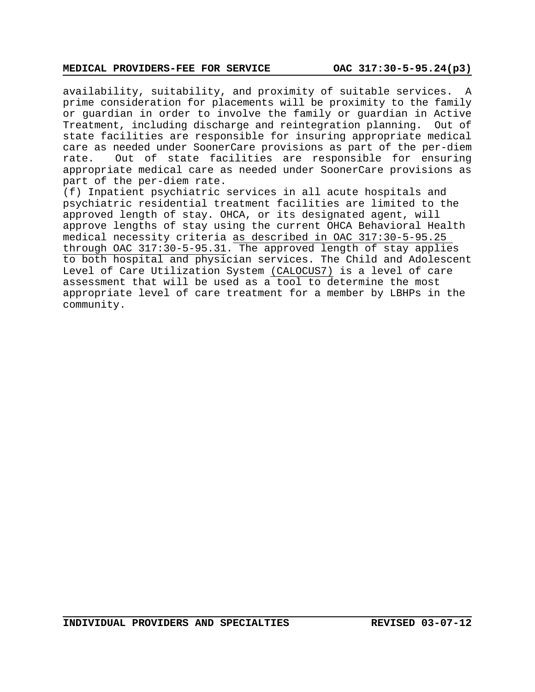#### **MEDICAL PROVIDERS-FEE FOR SERVICE OAC 317:30-5-95.24(p3)**

availability, suitability, and proximity of suitable services. A prime consideration for placements will be proximity to the family or guardian in order to involve the family or guardian in Active Treatment, including discharge and reintegration planning. Out of state facilities are responsible for insuring appropriate medical care as needed under SoonerCare provisions as part of the per-diem rate. Out of state facilities are responsible for ensuring appropriate medical care as needed under SoonerCare provisions as part of the per-diem rate.

(f) Inpatient psychiatric services in all acute hospitals and psychiatric residential treatment facilities are limited to the approved length of stay. OHCA, or its designated agent, will approve lengths of stay using the current OHCA Behavioral Health medical necessity criteria as described in OAC 317:30-5-95.25 through OAC 317:30-5-95.31. The approved length of stay applies to both hospital and physician services. The Child and Adolescent Level of Care Utilization System (CALOCUS7) is a level of care assessment that will be used as a tool to determine the most appropriate level of care treatment for a member by LBHPs in the community.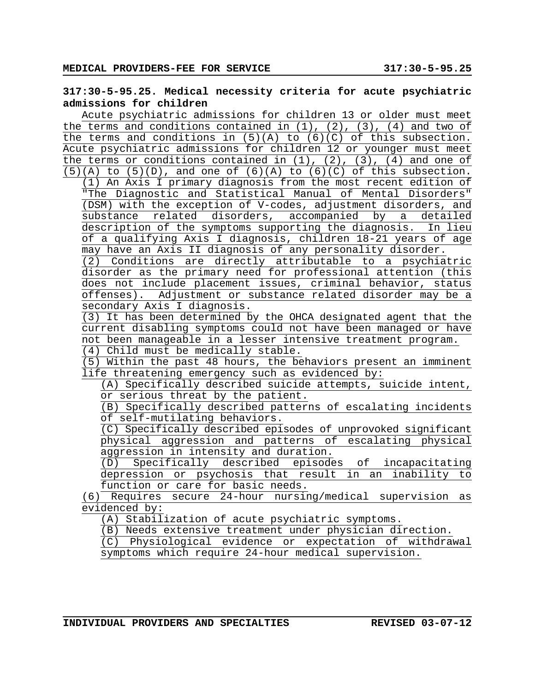# **317:30-5-95.25. Medical necessity criteria for acute psychiatric admissions for children**

Acute psychiatric admissions for children 13 or older must meet the terms and conditions contained in  $(1)$ ,  $(2)$ ,  $(3)$ ,  $(4)$  and two of the terms and conditions in  $(5)(A)$  to  $(6)(C)$  of this subsection. Acute psychiatric admissions for children 12 or younger must meet the terms or conditions contained in  $(1)$ ,  $(2)$ ,  $(3)$ ,  $(4)$  and one of  $(5)(A)$  to  $(5)(D)$ , and one of  $(6)(A)$  to  $(6)(C)$  of this subsection.

(1) An Axis I primary diagnosis from the most recent edition of "The Diagnostic and Statistical Manual of Mental Disorders" (DSM) with the exception of V-codes, adjustment disorders, and substance related disorders, accompanied by a detailed description of the symptoms supporting the diagnosis. In lieu of a qualifying Axis I diagnosis, children 18-21 years of age may have an Axis II diagnosis of any personality disorder.

(2) Conditions are directly attributable to a psychiatric disorder as the primary need for professional attention (this does not include placement issues, criminal behavior, status offenses). Adjustment or substance related disorder may be a secondary Axis I diagnosis.

(3) It has been determined by the OHCA designated agent that the current disabling symptoms could not have been managed or have not been manageable in a lesser intensive treatment program.

(4) Child must be medically stable.

(5) Within the past 48 hours, the behaviors present an imminent life threatening emergency such as evidenced by:

(A) Specifically described suicide attempts, suicide intent, or serious threat by the patient.

(B) Specifically described patterns of escalating incidents of self-mutilating behaviors.

(C) Specifically described episodes of unprovoked significant physical aggression and patterns of escalating physical aggression in intensity and duration.

(D) Specifically described episodes of incapacitating depression or psychosis that result in an inability to function or care for basic needs.

(6) Requires secure 24-hour nursing/medical supervision as evidenced by:

(A) Stabilization of acute psychiatric symptoms.

(B) Needs extensive treatment under physician direction.

(C) Physiological evidence or expectation of withdrawal symptoms which require 24-hour medical supervision.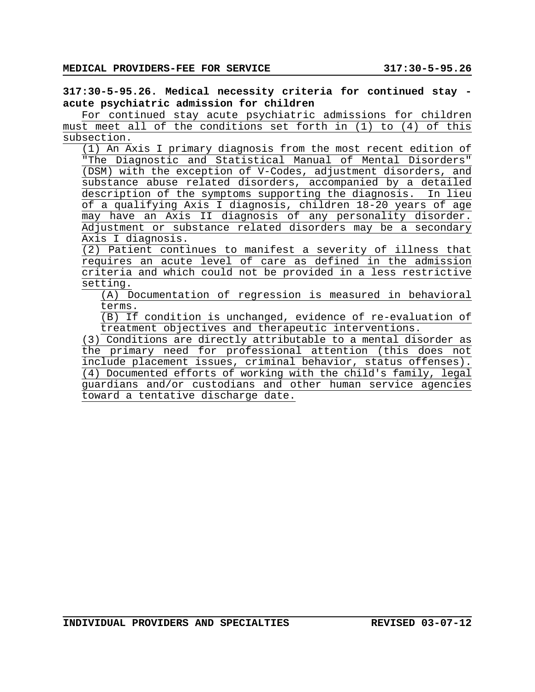**317:30-5-95.26. Medical necessity criteria for continued stay acute psychiatric admission for children**

subsection. For continued stay acute psychiatric admissions for children must meet all of the conditions set forth in (1) to (4) of this

(1) An Axis I primary diagnosis from the most recent edition of "The Diagnostic and Statistical Manual of Mental Disorders" (DSM) with the exception of V-Codes, adjustment disorders, and substance abuse related disorders, accompanied by a detailed description of the symptoms supporting the diagnosis. In lieu of a qualifying Axis I diagnosis, children 18-20 years of age may have an Axis II diagnosis of any personality disorder. Adjustment or substance related disorders may be a secondary Axis I diagnosis.

(2) Patient continues to manifest a severity of illness that requires an acute level of care as defined in the admission criteria and which could not be provided in a less restrictive setting.

(A) Documentation of regression is measured in behavioral terms.

 $(B)$  If condition is unchanged, evidence of re-evaluation of treatment objectives and therapeutic interventions.

(3) Conditions are directly attributable to a mental disorder as the primary need for professional attention (this does not include placement issues, criminal behavior, status offenses). (4) Documented efforts of working with the child's family, legal guardians and/or custodians and other human service agencies toward a tentative discharge date.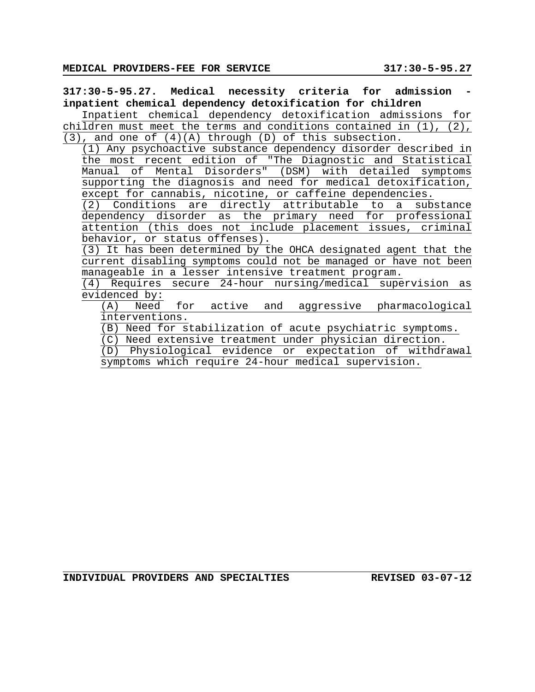**317:30-5-95.27. Medical necessity criteria for admission inpatient chemical dependency detoxification for children** Inpatient chemical dependency detoxification admissions for children must meet the terms and conditions contained in  $(1)$ ,  $(2)$ , (3), and one of (4)(A) through (D) of this subsection.

(1) Any psychoactive substance dependency disorder described in the most recent edition of "The Diagnostic and Statistical Manual of Mental Disorders" (DSM) with detailed symptoms supporting the diagnosis and need for medical detoxification, except for cannabis, nicotine, or caffeine dependencies.

(2) Conditions are directly attributable to a substance dependency disorder as the primary need for professional attention (this does not include placement issues, criminal behavior, or status offenses).

(3) It has been determined by the OHCA designated agent that the current disabling symptoms could not be managed or have not been manageable in a lesser intensive treatment program.

(4) Requires secure 24-hour nursing/medical supervision as evidenced by:

(A) Need for active and aggressive pharmacological interventions.

(B) Need for stabilization of acute psychiatric symptoms.

(C) Need extensive treatment under physician direction.

(D) Physiological evidence or expectation of withdrawal symptoms which require 24-hour medical supervision.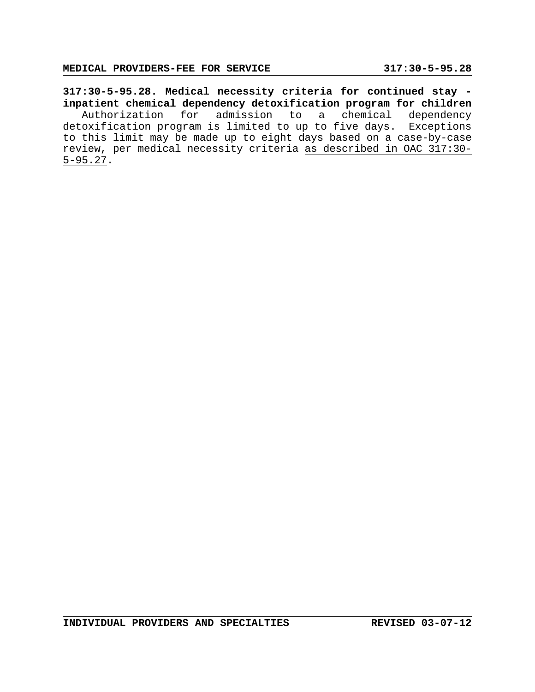**317:30-5-95.28. Medical necessity criteria for continued stay inpatient chemical dependency detoxification program for children** Authorization for admission to a chemical dependency detoxification program is limited to up to five days. Exceptions to this limit may be made up to eight days based on a case-by-case review, per medical necessity criteria as described in OAC 317:30- 5-95.27.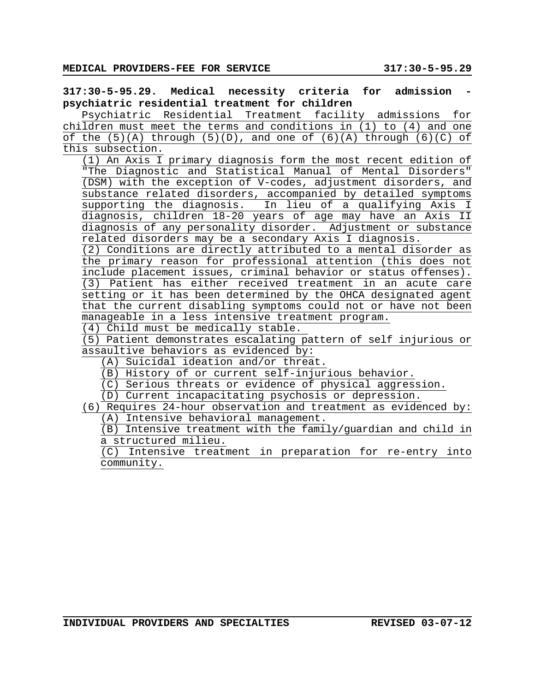**317:30-5-95.29. Medical necessity criteria for admission psychiatric residential treatment for children**

Psychiatric Residential Treatment facility admissions for children must meet the terms and conditions in (1) to (4) and one of the  $(5)(A)$  through  $(5)(D)$ , and one of  $(6)(A)$  through  $(6)(C)$  of this subsection.

(1) An Axis I primary diagnosis form the most recent edition of "The Diagnostic and Statistical Manual of Mental Disorders" (DSM) with the exception of V-codes, adjustment disorders, and substance related disorders, accompanied by detailed symptoms supporting the diagnosis. In lieu of a qualifying Axis I diagnosis, children 18-20 years of age may have an Axis II diagnosis of any personality disorder. Adjustment or substance related disorders may be a secondary Axis I diagnosis.

(2) Conditions are directly attributed to a mental disorder as the primary reason for professional attention (this does not include placement issues, criminal behavior or status offenses). (3) Patient has either received treatment in an acute care setting or it has been determined by the OHCA designated agent that the current disabling symptoms could not or have not been manageable in a less intensive treatment program.

(4) Child must be medically stable.

(5) Patient demonstrates escalating pattern of self injurious or assaultive behaviors as evidenced by:

(A) Suicidal ideation and/or threat.

(B) History of or current self-injurious behavior.

(C) Serious threats or evidence of physical aggression.

(D) Current incapacitating psychosis or depression.

(6) Requires 24-hour observation and treatment as evidenced by: (A) Intensive behavioral management.

(B) Intensive treatment with the family/guardian and child in a structured milieu.

(C) Intensive treatment in preparation for re-entry into community.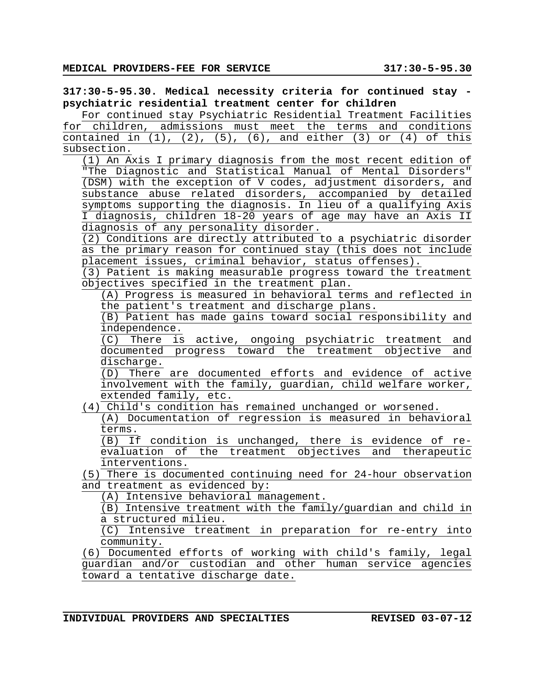**317:30-5-95.30. Medical necessity criteria for continued stay psychiatric residential treatment center for children**

For continued stay Psychiatric Residential Treatment Facilities for children, admissions must meet the terms and conditions contained in  $(1)$ ,  $(2)$ ,  $(5)$ ,  $(6)$ , and either  $(3)$  or  $(4)$  of this subsection.

(1) An Axis I primary diagnosis from the most recent edition of "The Diagnostic and Statistical Manual of Mental Disorders" (DSM) with the exception of V codes, adjustment disorders, and substance abuse related disorders, accompanied by detailed symptoms supporting the diagnosis. In lieu of a qualifying Axis I diagnosis, children 18-20 years of age may have an Axis II diagnosis of any personality disorder.

(2) Conditions are directly attributed to a psychiatric disorder as the primary reason for continued stay (this does not include placement issues, criminal behavior, status offenses).

(3) Patient is making measurable progress toward the treatment objectives specified in the treatment plan.

(A) Progress is measured in behavioral terms and reflected in the patient's treatment and discharge plans.

(B) Patient has made gains toward social responsibility and independence.

(C) There is active, ongoing psychiatric treatment and documented progress toward the treatment objective and discharge.

(D) There are documented efforts and evidence of active involvement with the family, guardian, child welfare worker, extended family, etc.

(4) Child's condition has remained unchanged or worsened.

(A) Documentation of regression is measured in behavioral terms.

(B) If condition is unchanged, there is evidence of reevaluation of the treatment objectives and therapeutic interventions.

(5) There is documented continuing need for 24-hour observation and treatment as evidenced by:

(A) Intensive behavioral management.

(B) Intensive treatment with the family/guardian and child in a structured milieu.

(C) Intensive treatment in preparation for re-entry into community.

(6) Documented efforts of working with child's family, legal guardian and/or custodian and other human service agencies toward a tentative discharge date.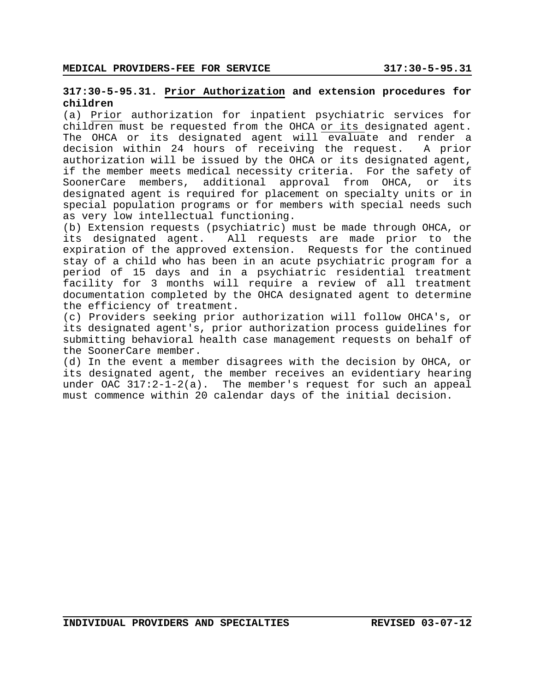### **317:30-5-95.31. Prior Authorization and extension procedures for children**

(a) Prior authorization for inpatient psychiatric services for children must be requested from the OHCA or its designated agent. The OHCA or its designated agent will evaluate and render a decision within 24 hours of receiving the request. A prior authorization will be issued by the OHCA or its designated agent, if the member meets medical necessity criteria. For the safety of SoonerCare members, additional approval from OHCA, or its designated agent is required for placement on specialty units or in special population programs or for members with special needs such as very low intellectual functioning.

(b) Extension requests (psychiatric) must be made through OHCA, or its designated agent. All requests are made prior to the expiration of the approved extension. Requests for the continued stay of a child who has been in an acute psychiatric program for a period of 15 days and in a psychiatric residential treatment facility for 3 months will require a review of all treatment documentation completed by the OHCA designated agent to determine the efficiency of treatment.

(c) Providers seeking prior authorization will follow OHCA's, or its designated agent's, prior authorization process guidelines for submitting behavioral health case management requests on behalf of the SoonerCare member.

(d) In the event a member disagrees with the decision by OHCA, or its designated agent, the member receives an evidentiary hearing under OAC  $317:2-1-2(a)$ . The member's request for such an appeal must commence within 20 calendar days of the initial decision.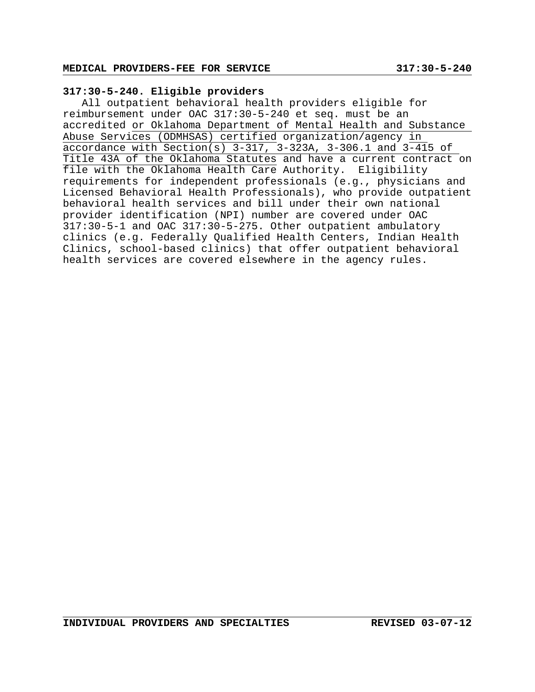## **317:30-5-240. Eligible providers**

All outpatient behavioral health providers eligible for reimbursement under OAC 317:30-5-240 et seq. must be an accredited or Oklahoma Department of Mental Health and Substance Abuse Services (ODMHSAS) certified organization/agency in  $\overline{\text{accordance with Section(s)} }$  3-317, 3-323A, 3-306.1 and 3-415 of Title 43A of the Oklahoma Statutes and have a current contract on file with the Oklahoma Health Care Authority. Eligibility requirements for independent professionals (e.g., physicians and Licensed Behavioral Health Professionals), who provide outpatient behavioral health services and bill under their own national provider identification (NPI) number are covered under OAC 317:30-5-1 and OAC 317:30-5-275. Other outpatient ambulatory clinics (e.g. Federally Qualified Health Centers, Indian Health Clinics, school-based clinics) that offer outpatient behavioral health services are covered elsewhere in the agency rules.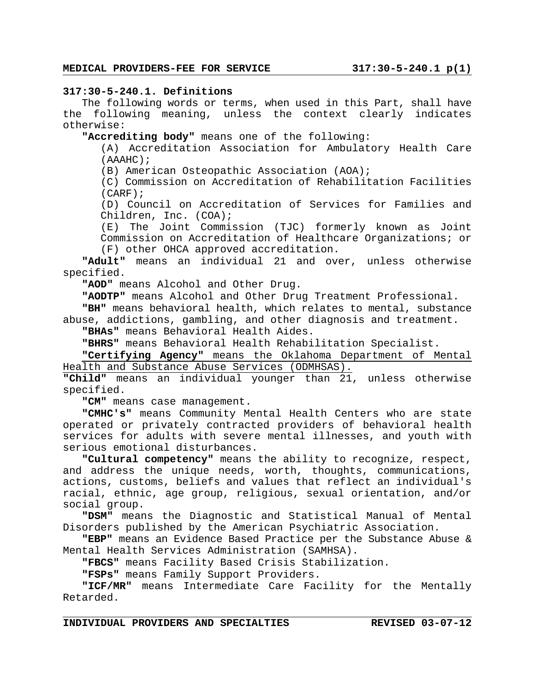### **317:30-5-240.1. Definitions**

The following words or terms, when used in this Part, shall have the following meaning, unless the context clearly indicates otherwise:

**"Accrediting body"** means one of the following:

(A) Accreditation Association for Ambulatory Health Care (AAAHC);

(B) American Osteopathic Association (AOA);

(C) Commission on Accreditation of Rehabilitation Facilities (CARF);

(D) Council on Accreditation of Services for Families and Children, Inc. (COA);

(E) The Joint Commission (TJC) formerly known as Joint Commission on Accreditation of Healthcare Organizations; or (F) other OHCA approved accreditation.

**"Adult"** means an individual 21 and over, unless otherwise specified.

**"AOD"** means Alcohol and Other Drug.

**"AODTP"** means Alcohol and Other Drug Treatment Professional.

**"BH"** means behavioral health, which relates to mental, substance abuse, addictions, gambling, and other diagnosis and treatment.

**"BHAs"** means Behavioral Health Aides.

**"BHRS"** means Behavioral Health Rehabilitation Specialist.

**"Certifying Agency"** means the Oklahoma Department of Mental Health and Substance Abuse Services (ODMHSAS).

**"Child"** means an individual younger than 21, unless otherwise specified.

**"CM"** means case management.

**"CMHC's"** means Community Mental Health Centers who are state operated or privately contracted providers of behavioral health services for adults with severe mental illnesses, and youth with serious emotional disturbances.

**"Cultural competency"** means the ability to recognize, respect, and address the unique needs, worth, thoughts, communications, actions, customs, beliefs and values that reflect an individual's racial, ethnic, age group, religious, sexual orientation, and/or social group.

**"DSM"** means the Diagnostic and Statistical Manual of Mental Disorders published by the American Psychiatric Association.

**"EBP"** means an Evidence Based Practice per the Substance Abuse & Mental Health Services Administration (SAMHSA).

**"FBCS"** means Facility Based Crisis Stabilization.

**"FSPs"** means Family Support Providers.

**"ICF/MR"** means Intermediate Care Facility for the Mentally Retarded.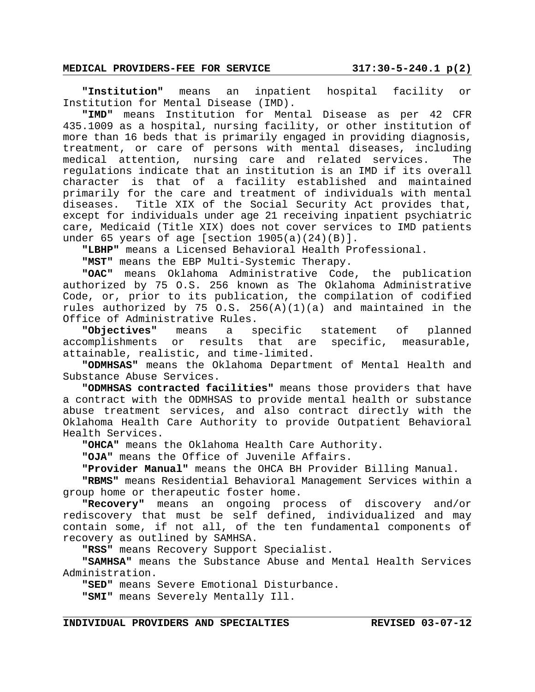# **MEDICAL PROVIDERS-FEE FOR SERVICE 317:30-5-240.1 p(2)**

**"Institution"** means an inpatient hospital facility or Institution for Mental Disease (IMD).

**"IMD"** means Institution for Mental Disease as per 42 CFR 435.1009 as a hospital, nursing facility, or other institution of more than 16 beds that is primarily engaged in providing diagnosis, treatment, or care of persons with mental diseases, including medical attention, nursing care and related services. The regulations indicate that an institution is an IMD if its overall character is that of a facility established and maintained primarily for the care and treatment of individuals with mental diseases. Title XIX of the Social Security Act provides that, except for individuals under age 21 receiving inpatient psychiatric care, Medicaid (Title XIX) does not cover services to IMD patients under 65 years of age [section  $1905(a)(24)(B)$ ].

**"LBHP"** means a Licensed Behavioral Health Professional.

**"MST"** means the EBP Multi-Systemic Therapy.

**"OAC"** means Oklahoma Administrative Code, the publication authorized by 75 O.S. 256 known as The Oklahoma Administrative Code, or, prior to its publication, the compilation of codified rules authorized by 75 O.S.  $256(A)(1)(a)$  and maintained in the Office of Administrative Rules.

**"Objectives"** means a specific statement of planned accomplishments or results that are specific, measurable, attainable, realistic, and time-limited.

**"ODMHSAS"** means the Oklahoma Department of Mental Health and Substance Abuse Services.

**"ODMHSAS contracted facilities"** means those providers that have a contract with the ODMHSAS to provide mental health or substance abuse treatment services, and also contract directly with the Oklahoma Health Care Authority to provide Outpatient Behavioral Health Services.

**"OHCA"** means the Oklahoma Health Care Authority.

**"OJA"** means the Office of Juvenile Affairs.

**"Provider Manual"** means the OHCA BH Provider Billing Manual.

**"RBMS"** means Residential Behavioral Management Services within a group home or therapeutic foster home.

**"Recovery"** means an ongoing process of discovery and/or rediscovery that must be self defined, individualized and may contain some, if not all, of the ten fundamental components of recovery as outlined by SAMHSA.

**"RSS"** means Recovery Support Specialist.

**"SAMHSA"** means the Substance Abuse and Mental Health Services Administration.

**"SED"** means Severe Emotional Disturbance.

**"SMI"** means Severely Mentally Ill.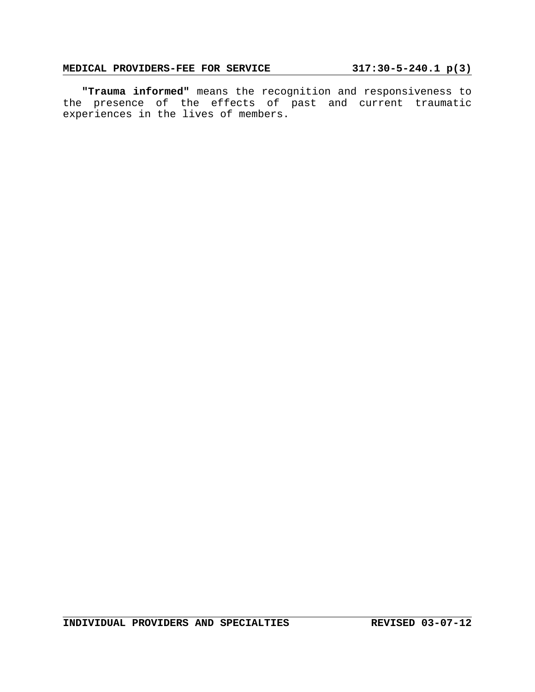# **MEDICAL PROVIDERS-FEE FOR SERVICE 317:30-5-240.1 p(3)**

**"Trauma informed"** means the recognition and responsiveness to the presence of the effects of past and current traumatic experiences in the lives of members.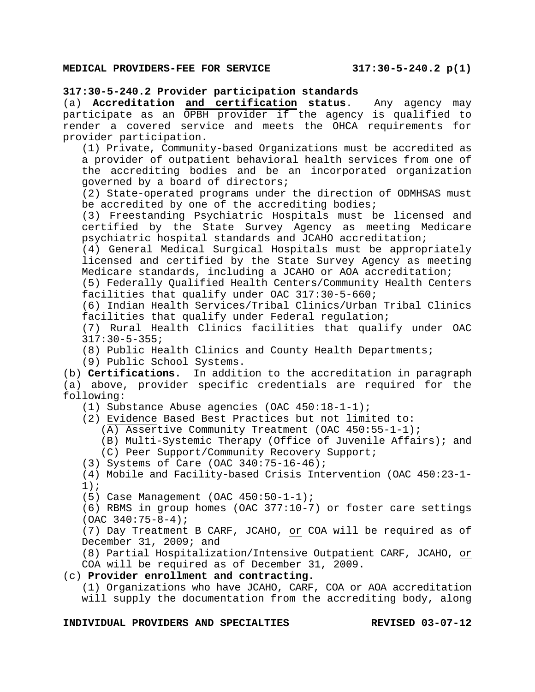#### **317:30-5-240.2 Provider participation standards**

(a) **Accreditation and certification status**. Any agency may participate as an OPBH provider if the agency is qualified to render a covered service and meets the OHCA requirements for provider participation.

(1) Private, Community-based Organizations must be accredited as a provider of outpatient behavioral health services from one of the accrediting bodies and be an incorporated organization governed by a board of directors;

(2) State-operated programs under the direction of ODMHSAS must be accredited by one of the accrediting bodies;

(3) Freestanding Psychiatric Hospitals must be licensed and certified by the State Survey Agency as meeting Medicare psychiatric hospital standards and JCAHO accreditation;

(4) General Medical Surgical Hospitals must be appropriately licensed and certified by the State Survey Agency as meeting Medicare standards, including a JCAHO or AOA accreditation;

(5) Federally Qualified Health Centers/Community Health Centers facilities that qualify under OAC 317:30-5-660;

(6) Indian Health Services/Tribal Clinics/Urban Tribal Clinics facilities that qualify under Federal regulation;

(7) Rural Health Clinics facilities that qualify under OAC 317:30-5-355;

(8) Public Health Clinics and County Health Departments;

(9) Public School Systems.

(b) **Certifications.** In addition to the accreditation in paragraph (a) above, provider specific credentials are required for the following:

(1) Substance Abuse agencies (OAC 450:18-1-1);

(2) Evidence Based Best Practices but not limited to:

(A) Assertive Community Treatment (OAC 450:55-1-1);

(B) Multi-Systemic Therapy (Office of Juvenile Affairs); and

(C) Peer Support/Community Recovery Support;

(3) Systems of Care (OAC 340:75-16-46);

(4) Mobile and Facility-based Crisis Intervention (OAC 450:23-1- 1);

(5) Case Management (OAC 450:50-1-1);

(6) RBMS in group homes (OAC 377:10-7) or foster care settings (OAC 340:75-8-4);

(7) Day Treatment B CARF, JCAHO, or COA will be required as of December 31, 2009; and

(8) Partial Hospitalization/Intensive Outpatient CARF, JCAHO, or COA will be required as of December 31, 2009.

### (c) **Provider enrollment and contracting.**

(1) Organizations who have JCAHO, CARF, COA or AOA accreditation will supply the documentation from the accrediting body, along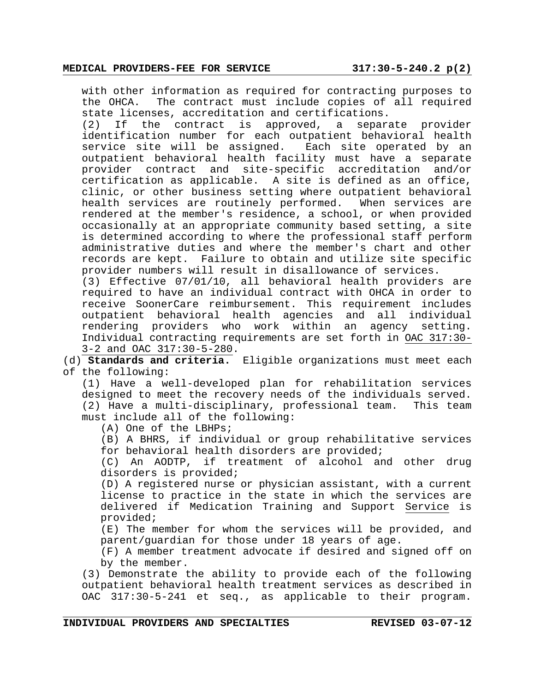with other information as required for contracting purposes to the OHCA. The contract must include copies of all required state licenses, accreditation and certifications.

(2) If the contract is approved, a separate provider identification number for each outpatient behavioral health service site will be assigned. Each site operated by an outpatient behavioral health facility must have a separate provider contract and site-specific accreditation and/or certification as applicable. A site is defined as an office, clinic, or other business setting where outpatient behavioral health services are routinely performed. When services are rendered at the member's residence, a school, or when provided occasionally at an appropriate community based setting, a site is determined according to where the professional staff perform administrative duties and where the member's chart and other records are kept. Failure to obtain and utilize site specific provider numbers will result in disallowance of services.

(3) Effective 07/01/10, all behavioral health providers are required to have an individual contract with OHCA in order to receive SoonerCare reimbursement. This requirement includes outpatient behavioral health agencies and all individual rendering providers who work within an agency setting. Individual contracting requirements are set forth in OAC 317:30- 3-2 and OAC 317:30-5-280.

(d) **Standards and criteria.** Eligible organizations must meet each of the following:

(1) Have a well-developed plan for rehabilitation services designed to meet the recovery needs of the individuals served. (2) Have a multi-disciplinary, professional team. This team must include all of the following:

(A) One of the LBHPs;

(B) A BHRS, if individual or group rehabilitative services for behavioral health disorders are provided;

(C) An AODTP, if treatment of alcohol and other drug disorders is provided;

(D) A registered nurse or physician assistant, with a current license to practice in the state in which the services are delivered if Medication Training and Support Service is provided;

(E) The member for whom the services will be provided, and parent/guardian for those under 18 years of age.

(F) A member treatment advocate if desired and signed off on by the member.

(3) Demonstrate the ability to provide each of the following outpatient behavioral health treatment services as described in OAC 317:30-5-241 et seq., as applicable to their program.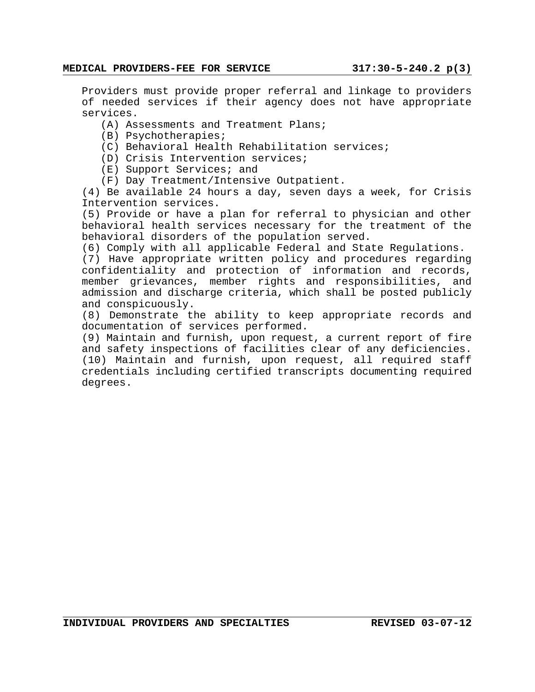Providers must provide proper referral and linkage to providers of needed services if their agency does not have appropriate services.

- (A) Assessments and Treatment Plans;
- (B) Psychotherapies;
- (C) Behavioral Health Rehabilitation services;
- (D) Crisis Intervention services;
- (E) Support Services; and
- (F) Day Treatment/Intensive Outpatient.

(4) Be available 24 hours a day, seven days a week, for Crisis Intervention services.

(5) Provide or have a plan for referral to physician and other behavioral health services necessary for the treatment of the behavioral disorders of the population served.

(6) Comply with all applicable Federal and State Regulations.

(7) Have appropriate written policy and procedures regarding confidentiality and protection of information and records, member grievances, member rights and responsibilities, and admission and discharge criteria, which shall be posted publicly and conspicuously.

(8) Demonstrate the ability to keep appropriate records and documentation of services performed.

(9) Maintain and furnish, upon request, a current report of fire and safety inspections of facilities clear of any deficiencies. (10) Maintain and furnish, upon request, all required staff credentials including certified transcripts documenting required degrees.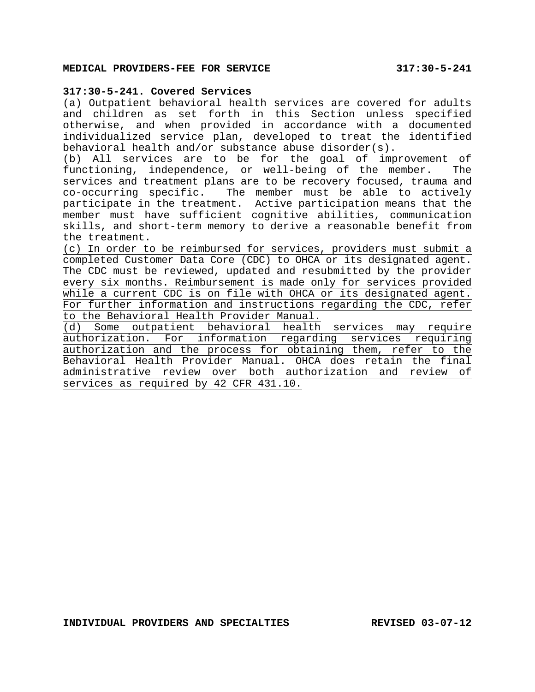## **317:30-5-241. Covered Services**

(a) Outpatient behavioral health services are covered for adults and children as set forth in this Section unless specified otherwise, and when provided in accordance with a documented individualized service plan, developed to treat the identified behavioral health and/or substance abuse disorder(s).

(b) All services are to be for the goal of improvement of functioning, independence, or well-being of the member. The services and treatment plans are to be recovery focused, trauma and co-occurring specific. The member must be able to actively participate in the treatment. Active participation means that the member must have sufficient cognitive abilities, communication skills, and short-term memory to derive a reasonable benefit from the treatment.

(c) In order to be reimbursed for services, providers must submit a completed Customer Data Core (CDC) to OHCA or its designated agent. The CDC must be reviewed, updated and resubmitted by the provider every six months. Reimbursement is made only for services provided while a current CDC is on file with OHCA or its designated agent. For further information and instructions regarding the CDC, refer to the Behavioral Health Provider Manual.

(d) Some outpatient behavioral health services may require authorization. For information regarding services requiring authorization and the process for obtaining them, refer to the Behavioral Health Provider Manual. OHCA does retain the final administrative review over both authorization and review of services as required by 42 CFR 431.10.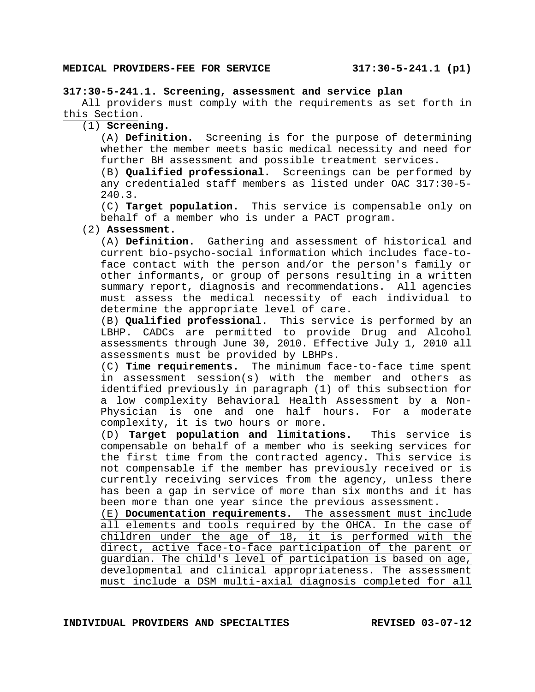#### **317:30-5-241.1. Screening, assessment and service plan**

All providers must comply with the requirements as set forth in this Section.

(1) **Screening.**

(A) **Definition.** Screening is for the purpose of determining whether the member meets basic medical necessity and need for further BH assessment and possible treatment services.

(B) **Qualified professional.** Screenings can be performed by any credentialed staff members as listed under OAC 317:30-5- 240.3.

(C) **Target population.** This service is compensable only on behalf of a member who is under a PACT program.

(2) **Assessment.** 

(A) **Definition.** Gathering and assessment of historical and current bio-psycho-social information which includes face-toface contact with the person and/or the person's family or other informants, or group of persons resulting in a written summary report, diagnosis and recommendations. All agencies must assess the medical necessity of each individual to determine the appropriate level of care.

(B) **Qualified professional.** This service is performed by an LBHP. CADCs are permitted to provide Drug and Alcohol assessments through June 30, 2010. Effective July 1, 2010 all assessments must be provided by LBHPs.

(C) **Time requirements.** The minimum face-to-face time spent in assessment session(s) with the member and others as identified previously in paragraph (1) of this subsection for a low complexity Behavioral Health Assessment by a Non-Physician is one and one half hours. For a moderate complexity, it is two hours or more.

(D) **Target population and limitations.** This service is compensable on behalf of a member who is seeking services for the first time from the contracted agency. This service is not compensable if the member has previously received or is currently receiving services from the agency, unless there has been a gap in service of more than six months and it has been more than one year since the previous assessment.

(E) **Documentation requirements.** The assessment must include all elements and tools required by the OHCA. In the case of children under the age of 18, it is performed with the direct, active face-to-face participation of the parent or guardian. The child's level of participation is based on age, developmental and clinical appropriateness. The assessment must include a DSM multi-axial diagnosis completed for all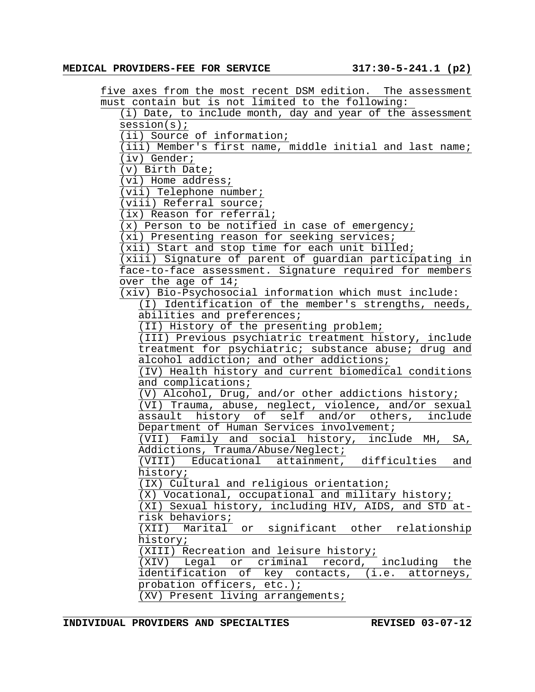five axes from the most recent DSM edition. The assessment must contain but is not limited to the following:

(i) Date, to include month, day and year of the assessment session(s); (ii) Source of information; (iii) Member's first name, middle initial and last name; (iv) Gender; (v) Birth Date; (vi) Home address; (vii) Telephone number; (viii) Referral source; (ix) Reason for referral; (x) Person to be notified in case of emergency; (xi) Presenting reason for seeking services; (xii) Start and stop time for each unit billed; (xiii) Signature of parent of guardian participating in face-to-face assessment. Signature required for members over the age of 14; (xiv) Bio-Psychosocial information which must include: (I) Identification of the member's strengths, needs, abilities and preferences; (II) History of the presenting problem; (III) Previous psychiatric treatment history, include treatment for psychiatric; substance abuse; drug and alcohol addiction; and other addictions; (IV) Health history and current biomedical conditions and complications; (V) Alcohol, Drug, and/or other addictions history; (VI) Trauma, abuse, neglect, violence, and/or sexual assault history of self and/or others, include Department of Human Services involvement; (VII) Family and social history, include MH, SA, Addictions, Trauma/Abuse/Neglect; (VIII) Educational attainment, difficulties and history; (IX) Cultural and religious orientation; (X) Vocational, occupational and military history; (XI) Sexual history, including HIV, AIDS, and STD atrisk behaviors; (XII) Marital or significant other relationship history; (XIII) Recreation and leisure history; (XIV) Legal or criminal record, including the identification of key contacts, (i.e. attorneys, probation officers, etc.); (XV) Present living arrangements;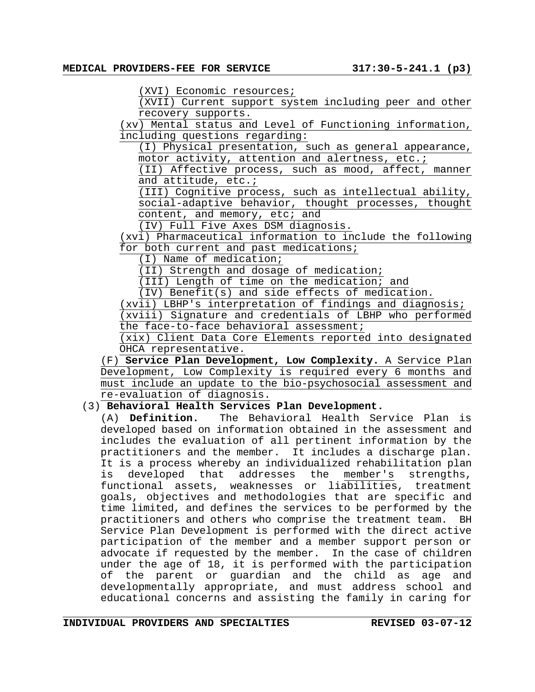(XVI) Economic resources;

(XVII) Current support system including peer and other recovery supports.

(xv) Mental status and Level of Functioning information, including questions regarding:

(I) Physical presentation, such as general appearance, motor activity, attention and alertness, etc.;

(II) Affective process, such as mood, affect, manner and attitude, etc.;

(III) Cognitive process, such as intellectual ability, social-adaptive behavior, thought processes, thought content, and memory, etc; and

(IV) Full Five Axes DSM diagnosis.

(xvi) Pharmaceutical information to include the following for both current and past medications;

(I) Name of medication;

(II) Strength and dosage of medication;

(III) Length of time on the medication; and

(IV) Benefit(s) and side effects of medication.

(xvii) LBHP's interpretation of findings and diagnosis;

(xviii) Signature and credentials of LBHP who performed the face-to-face behavioral assessment;

(xix) Client Data Core Elements reported into designated OHCA representative.

(F) **Service Plan Development, Low Complexity.** A Service Plan Development, Low Complexity is required every 6 months and must include an update to the bio-psychosocial assessment and re-evaluation of diagnosis.

#### (3) **Behavioral Health Services Plan Development.**

(A) **Definition.** The Behavioral Health Service Plan is developed based on information obtained in the assessment and includes the evaluation of all pertinent information by the practitioners and the member. It includes a discharge plan. It is a process whereby an individualized rehabilitation plan is developed that addresses the member's strengths, functional assets, weaknesses or liabilities, treatment goals, objectives and methodologies that are specific and time limited, and defines the services to be performed by the practitioners and others who comprise the treatment team. BH Service Plan Development is performed with the direct active participation of the member and a member support person or advocate if requested by the member. In the case of children under the age of 18, it is performed with the participation of the parent or guardian and the child as age and developmentally appropriate, and must address school and educational concerns and assisting the family in caring for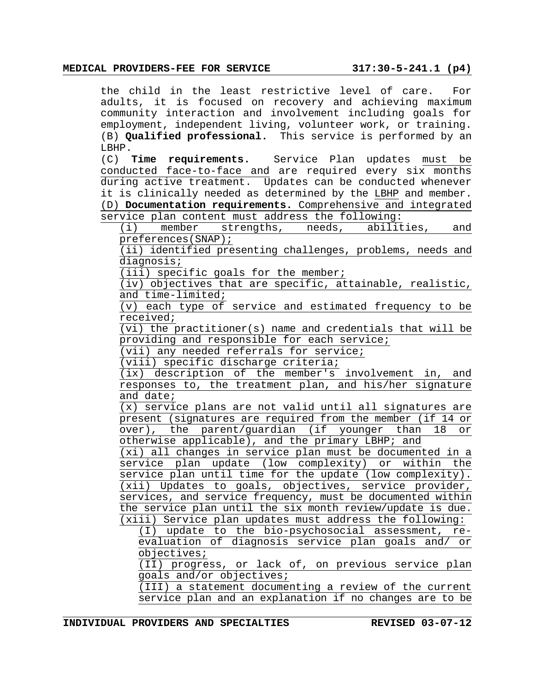#### **MEDICAL PROVIDERS-FEE FOR SERVICE 317:30-5-241.1 (p4)**

the child in the least restrictive level of care. For adults, it is focused on recovery and achieving maximum community interaction and involvement including goals for employment, independent living, volunteer work, or training. (B) **Qualified professional.** This service is performed by an LBHP.

(C) **Time requirements.** Service Plan updates must be conducted face-to-face and are required every six months during active treatment. Updates can be conducted whenever it is clinically needed as determined by the LBHP and member. (D) **Documentation requirements.** Comprehensive and integrated service plan content must address the following:

(i) member strengths, needs, abilities, and preferences(SNAP);

(ii) identified presenting challenges, problems, needs and diagnosis;

(iii) specific goals for the member;

(iv) objectives that are specific, attainable, realistic, and time-limited;

(v) each type of service and estimated frequency to be received;

(vi) the practitioner(s) name and credentials that will be providing and responsible for each service;

(vii) any needed referrals for service;

(viii) specific discharge criteria;

(ix) description of the member's involvement in, and responses to, the treatment plan, and his/her signature and date;

(x) service plans are not valid until all signatures are present (signatures are required from the member (if 14 or over), the parent/guardian (if younger than 18 or otherwise applicable), and the primary LBHP; and

(xi) all changes in service plan must be documented in a service plan update (low complexity) or within the service plan until time for the update (low complexity).  $(xii)$  Updates to goals, objectives, service provider, services, and service frequency, must be documented within the service plan until the six month review/update is due. (xiii) Service plan updates must address the following:

(I) update to the bio-psychosocial assessment, reevaluation of diagnosis service plan goals and/ or objectives;

(II) progress, or lack of, on previous service plan goals and/or objectives;

(III) a statement documenting a review of the current service plan and an explanation if no changes are to be

**INDIVIDUAL PROVIDERS AND SPECIALTIES REVISED 03-07-12**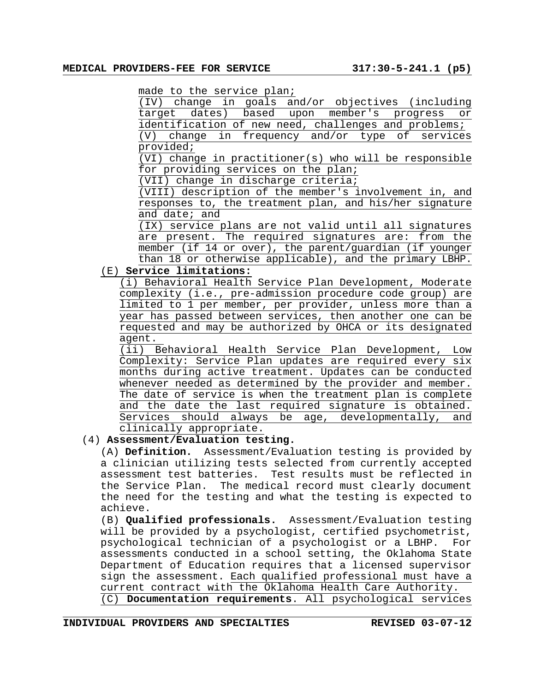made to the service plan;

|                                                      | (IV) change in goals and/or objectives (including |  |  |  |  |  |  |  |  |  |
|------------------------------------------------------|---------------------------------------------------|--|--|--|--|--|--|--|--|--|
|                                                      | target dates) based upon member's progress or     |  |  |  |  |  |  |  |  |  |
| identification of new need, challenges and problems; |                                                   |  |  |  |  |  |  |  |  |  |
|                                                      | (V) change in frequency and/or type of services   |  |  |  |  |  |  |  |  |  |

provided;

(VI) change in practitioner(s) who will be responsible for providing services on the plan;

(VII) change in discharge criteria;

(VIII) description of the member's involvement in, and responses to, the treatment plan, and his/her signature and date; and

(IX) service plans are not valid until all signatures are present. The required signatures are: from the member (if 14 or over), the parent/guardian (if younger than 18 or otherwise applicable), and the primary LBHP.

# (E) **Service limitations:**

(i) Behavioral Health Service Plan Development, Moderate complexity (i.e., pre-admission procedure code group) are limited to 1 per member, per provider, unless more than a year has passed between services, then another one can be requested and may be authorized by OHCA or its designated agent.

(ii) Behavioral Health Service Plan Development, Low Complexity: Service Plan updates are required every six months during active treatment. Updates can be conducted whenever needed as determined by the provider and member. The date of service is when the treatment plan is complete and the date the last required signature is obtained. Services should always be age, developmentally, and clinically appropriate.

# (4) **Assessment/Evaluation testing.**

(A) **Definition.** Assessment/Evaluation testing is provided by a clinician utilizing tests selected from currently accepted assessment test batteries. Test results must be reflected in the Service Plan. The medical record must clearly document the need for the testing and what the testing is expected to achieve.

(B) **Qualified professionals.** Assessment/Evaluation testing will be provided by a psychologist, certified psychometrist, psychological technician of a psychologist or a LBHP. For assessments conducted in a school setting, the Oklahoma State Department of Education requires that a licensed supervisor sign the assessment. Each qualified professional must have a current contract with the Oklahoma Health Care Authority. (C) **Documentation requirements**. All psychological services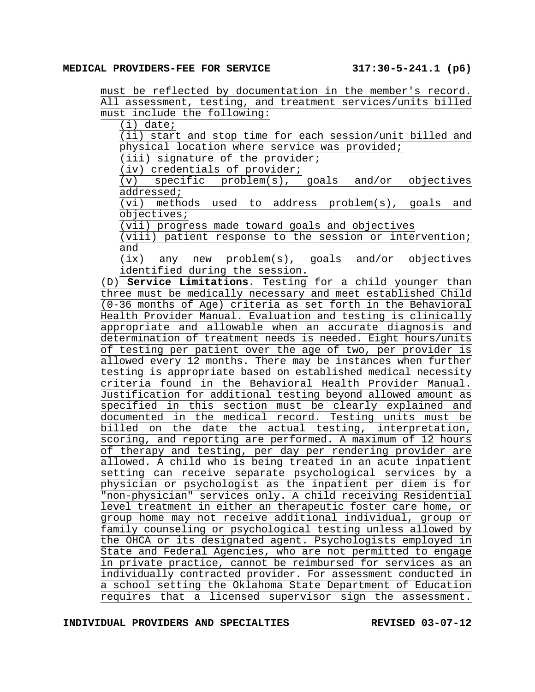must be reflected by documentation in the member's record. All assessment, testing, and treatment services/units billed must include the following:

(i) date;

(ii) start and stop time for each session/unit billed and physical location where service was provided;

(iii) signature of the provider;

(iv) credentials of provider;

(v) specific problem(s), goals and/or objectives addressed;

(vi) methods used to address problem(s), goals and objectives;

(vii) progress made toward goals and objectives

(viii) patient response to the session or intervention; and

(ix) any new problem(s), goals and/or objectives identified during the session.

(D) **Service Limitations.** Testing for a child younger than three must be medically necessary and meet established Child (0-36 months of Age) criteria as set forth in the Behavioral Health Provider Manual. Evaluation and testing is clinically appropriate and allowable when an accurate diagnosis and determination of treatment needs is needed. Eight hours/units of testing per patient over the age of two, per provider is allowed every 12 months. There may be instances when further testing is appropriate based on established medical necessity criteria found in the Behavioral Health Provider Manual. Justification for additional testing beyond allowed amount as specified in this section must be clearly explained and documented in the medical record. Testing units must be billed on the date the actual testing, interpretation, scoring, and reporting are performed. A maximum of 12 hours of therapy and testing, per day per rendering provider are allowed. A child who is being treated in an acute inpatient setting can receive separate psychological services by a physician or psychologist as the inpatient per diem is for "non-physician" services only. A child receiving Residential level treatment in either an therapeutic foster care home, or group home may not receive additional individual, group or family counseling or psychological testing unless allowed by the OHCA or its designated agent. Psychologists employed in State and Federal Agencies, who are not permitted to engage in private practice, cannot be reimbursed for services as an individually contracted provider. For assessment conducted in a school setting the Oklahoma State Department of Education requires that a licensed supervisor sign the assessment.

**INDIVIDUAL PROVIDERS AND SPECIALTIES REVISED 03-07-12**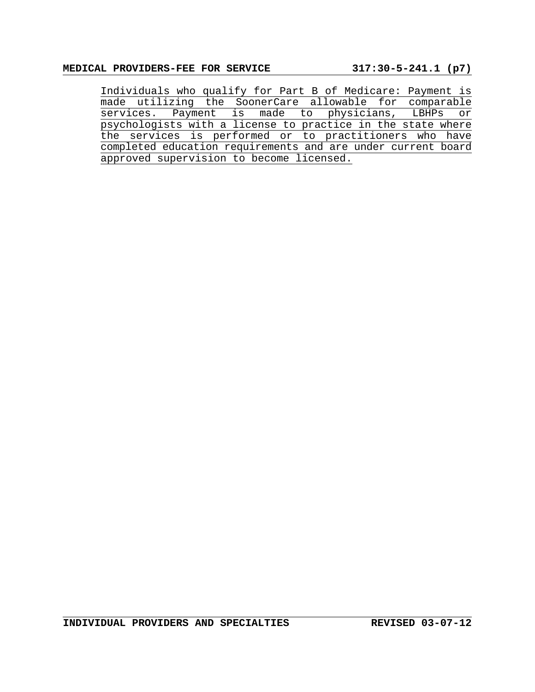Individuals who qualify for Part B of Medicare: Payment is made utilizing the SoonerCare allowable for comparable services. Payment is made to physicians, LBHPs or psychologists with a license to practice in the state where the services is performed or to practitioners who have completed education requirements and are under current board approved supervision to become licensed.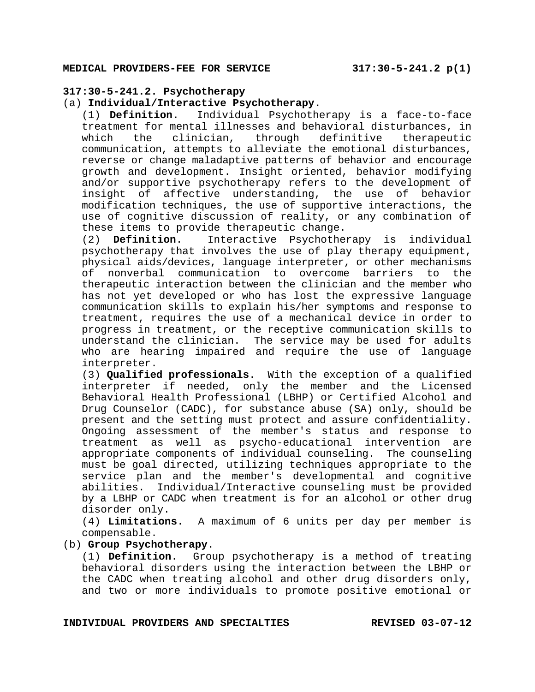## **317:30-5-241.2. Psychotherapy**

#### (a) **Individual/Interactive Psychotherapy.**

(1) **Definition.** Individual Psychotherapy is a face-to-face treatment for mental illnesses and behavioral disturbances, in which the clinician, through definitive therapeutic communication, attempts to alleviate the emotional disturbances, reverse or change maladaptive patterns of behavior and encourage growth and development. Insight oriented, behavior modifying and/or supportive psychotherapy refers to the development of insight of affective understanding, the use of behavior modification techniques, the use of supportive interactions, the use of cognitive discussion of reality, or any combination of these items to provide therapeutic change.

(2) **Definition**. Interactive Psychotherapy is individual psychotherapy that involves the use of play therapy equipment, physical aids/devices, language interpreter, or other mechanisms of nonverbal communication to overcome barriers to the therapeutic interaction between the clinician and the member who has not yet developed or who has lost the expressive language communication skills to explain his/her symptoms and response to treatment, requires the use of a mechanical device in order to progress in treatment, or the receptive communication skills to understand the clinician. The service may be used for adults who are hearing impaired and require the use of language interpreter.

(3) **Qualified professionals**. With the exception of a qualified interpreter if needed, only the member and the Licensed Behavioral Health Professional (LBHP) or Certified Alcohol and Drug Counselor (CADC), for substance abuse (SA) only, should be present and the setting must protect and assure confidentiality. Ongoing assessment of the member's status and response to treatment as well as psycho-educational intervention are appropriate components of individual counseling. The counseling must be goal directed, utilizing techniques appropriate to the service plan and the member's developmental and cognitive abilities. Individual/Interactive counseling must be provided by a LBHP or CADC when treatment is for an alcohol or other drug disorder only.

(4) **Limitations**. A maximum of 6 units per day per member is compensable.

## (b) **Group Psychotherapy**.

(1) **Definition**. Group psychotherapy is a method of treating behavioral disorders using the interaction between the LBHP or the CADC when treating alcohol and other drug disorders only, and two or more individuals to promote positive emotional or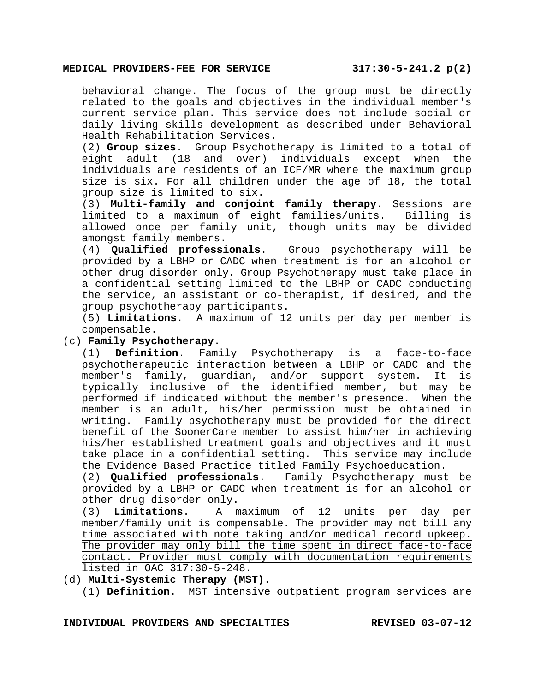#### **MEDICAL PROVIDERS-FEE FOR SERVICE 317:30-5-241.2 p(2)**

behavioral change. The focus of the group must be directly related to the goals and objectives in the individual member's current service plan. This service does not include social or daily living skills development as described under Behavioral Health Rehabilitation Services.

(2) **Group sizes**. Group Psychotherapy is limited to a total of eight adult (18 and over) individuals except when the individuals are residents of an ICF/MR where the maximum group size is six. For all children under the age of 18, the total group size is limited to six.

(3) **Multi-family and conjoint family therapy**. Sessions are limited to a maximum of eight families/units. Billing is allowed once per family unit, though units may be divided amongst family members.

(4) **Qualified professionals**. Group psychotherapy will be provided by a LBHP or CADC when treatment is for an alcohol or other drug disorder only. Group Psychotherapy must take place in a confidential setting limited to the LBHP or CADC conducting the service, an assistant or co-therapist, if desired, and the group psychotherapy participants.

(5) **Limitations**. A maximum of 12 units per day per member is compensable.

#### (c) **Family Psychotherapy**.

(1) **Definition**. Family Psychotherapy is a face-to-face psychotherapeutic interaction between a LBHP or CADC and the member's family, guardian, and/or support system. It is typically inclusive of the identified member, but may be performed if indicated without the member's presence. When the member is an adult, his/her permission must be obtained in writing. Family psychotherapy must be provided for the direct benefit of the SoonerCare member to assist him/her in achieving his/her established treatment goals and objectives and it must take place in a confidential setting. This service may include the Evidence Based Practice titled Family Psychoeducation.

(2) **Qualified professionals**. Family Psychotherapy must be provided by a LBHP or CADC when treatment is for an alcohol or other drug disorder only.

(3) **Limitations**. A maximum of 12 units per day per member/family unit is compensable. The provider may not bill any time associated with note taking and/or medical record upkeep. The provider may only bill the time spent in direct face-to-face contact. Provider must comply with documentation requirements listed in OAC 317:30-5-248.

- (d) **Multi-Systemic Therapy (MST).**
	- (1) **Definition**. MST intensive outpatient program services are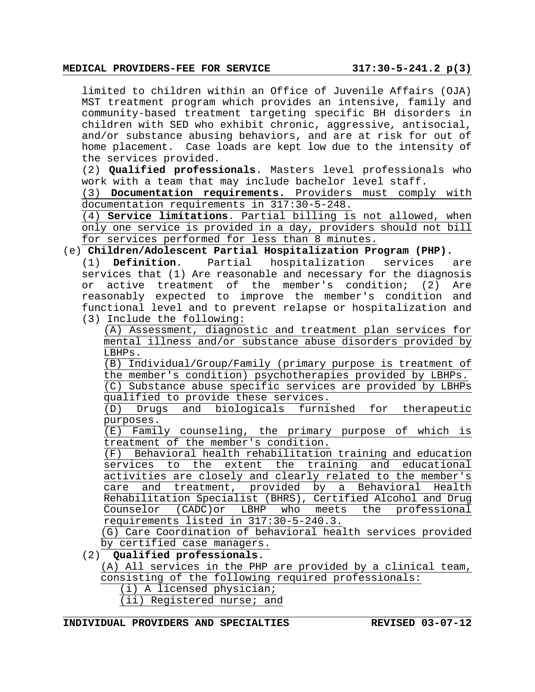#### **MEDICAL PROVIDERS-FEE FOR SERVICE 317:30-5-241.2 p(3)**

limited to children within an Office of Juvenile Affairs (OJA) MST treatment program which provides an intensive, family and community-based treatment targeting specific BH disorders in children with SED who exhibit chronic, aggressive, antisocial, and/or substance abusing behaviors, and are at risk for out of home placement. Case loads are kept low due to the intensity of the services provided.

(2) **Qualified professionals**. Masters level professionals who work with a team that may include bachelor level staff.

(3) **Documentation requirements.** Providers must comply with documentation requirements in 317:30-5-248.

(4) **Service limitations**. Partial billing is not allowed, when only one service is provided in a day, providers should not bill for services performed for less than 8 minutes.

(e) **Children/Adolescent Partial Hospitalization Program (PHP).** 

(1) **Definition**. Partial hospitalization services are services that (1) Are reasonable and necessary for the diagnosis or active treatment of the member's condition; (2) Are reasonably expected to improve the member's condition and functional level and to prevent relapse or hospitalization and (3) Include the following:

(A) Assessment, diagnostic and treatment plan services for mental illness and/or substance abuse disorders provided by LBHPs.

(B) Individual/Group/Family (primary purpose is treatment of the member's condition) psychotherapies provided by LBHPs. (C) Substance abuse specific services are provided by LBHPs

qualified to provide these services.

(D) Drugs and biologicals furnished for therapeutic purposes.

(E) Family counseling, the primary purpose of which is treatment of the member's condition.

(F) Behavioral health rehabilitation training and education services to the extent the training and educational activities are closely and clearly related to the member's care and treatment, provided by a Behavioral Health Rehabilitation Specialist (BHRS), Certified Alcohol and Drug Counselor (CADC)or LBHP who meets the professional requirements listed in 317:30-5-240.3.

(G) Care Coordination of behavioral health services provided by certified case managers.

## (2) **Qualified professionals.**

(A) All services in the PHP are provided by a clinical team, consisting of the following required professionals:

- (i) A licensed physician;
- (ii) Registered nurse; and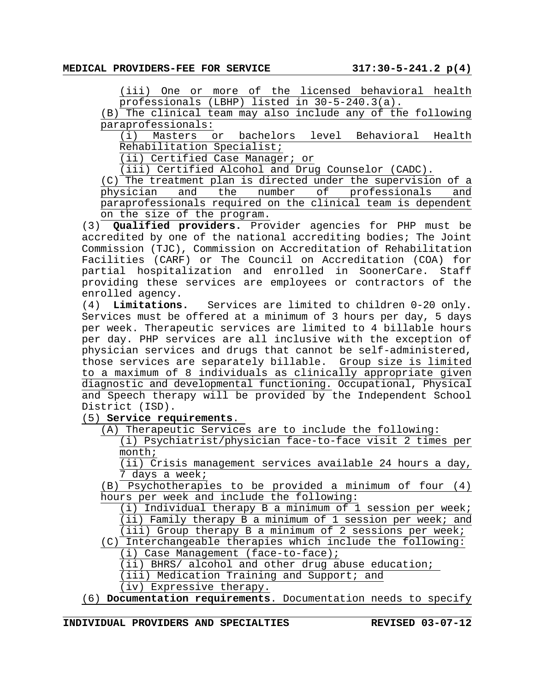(iii) One or more of the licensed behavioral health professionals (LBHP) listed in 30-5-240.3(a).

(B) The clinical team may also include any of the following paraprofessionals:

(i) Masters or bachelors level Behavioral Health Rehabilitation Specialist;

(ii) Certified Case Manager; or

(iii) Certified Alcohol and Drug Counselor (CADC).

(C) The treatment plan is directed under the supervision of a physician and the number of professionals and paraprofessionals required on the clinical team is dependent on the size of the program.

(3) **Qualified providers.** Provider agencies for PHP must be accredited by one of the national accrediting bodies; The Joint Commission (TJC), Commission on Accreditation of Rehabilitation Facilities (CARF) or The Council on Accreditation (COA) for partial hospitalization and enrolled in SoonerCare. Staff providing these services are employees or contractors of the enrolled agency.

(4) **Limitations.** Services are limited to children 0-20 only. Services must be offered at a minimum of 3 hours per day, 5 days per week. Therapeutic services are limited to 4 billable hours per day. PHP services are all inclusive with the exception of physician services and drugs that cannot be self-administered, those services are separately billable. Group size is limited to a maximum of 8 individuals as clinically appropriate given diagnostic and developmental functioning. Occupational, Physical and Speech therapy will be provided by the Independent School District (ISD).

(5) **Service requirements**.

(A) Therapeutic Services are to include the following:

(i) Psychiatrist/physician face-to-face visit 2 times per month;

(ii) Crisis management services available 24 hours a day, 7 days a week;

(B) Psychotherapies to be provided a minimum of four (4) hours per week and include the following:

(i) Individual therapy B a minimum of 1 session per week; (ii) Family therapy B a minimum of  $1$  session per week; and (iii) Group therapy B a minimum of 2 sessions per week;

(C) Interchangeable therapies which include the following:

(i) Case Management (face-to-face);

(ii) BHRS/ alcohol and other drug abuse education;

(iii) Medication Training and Support; and

(iv) Expressive therapy.

(6) **Documentation requirements**. Documentation needs to specify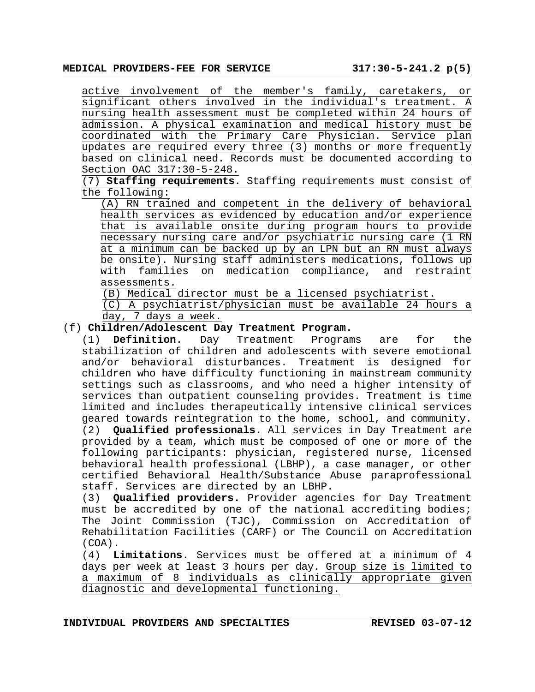active involvement of the member's family, caretakers, or significant others involved in the individual's treatment. A nursing health assessment must be completed within 24 hours of admission. A physical examination and medical history must be coordinated with the Primary Care Physician. Service plan updates are required every three (3) months or more frequently based on clinical need. Records must be documented according to Section OAC 317:30-5-248.

(7) **Staffing requirements**. Staffing requirements must consist of the following:

(A) RN trained and competent in the delivery of behavioral health services as evidenced by education and/or experience that is available onsite during program hours to provide necessary nursing care and/or psychiatric nursing care (1 RN at a minimum can be backed up by an LPN but an RN must always be onsite). Nursing staff administers medications, follows up with families on medication compliance, and restraint assessments.

(B) Medical director must be a licensed psychiatrist.

(C) A psychiatrist/physician must be available 24 hours a day, 7 days a week.

## (f) **Children/Adolescent Day Treatment Program.**

(1) **Definition**. Day Treatment Programs are for the stabilization of children and adolescents with severe emotional and/or behavioral disturbances. Treatment is designed for children who have difficulty functioning in mainstream community settings such as classrooms, and who need a higher intensity of services than outpatient counseling provides. Treatment is time limited and includes therapeutically intensive clinical services geared towards reintegration to the home, school, and community. (2) **Qualified professionals.** All services in Day Treatment are provided by a team, which must be composed of one or more of the following participants: physician, registered nurse, licensed behavioral health professional (LBHP), a case manager, or other certified Behavioral Health/Substance Abuse paraprofessional staff. Services are directed by an LBHP.

(3) **Qualified providers.** Provider agencies for Day Treatment must be accredited by one of the national accrediting bodies; The Joint Commission (TJC), Commission on Accreditation of Rehabilitation Facilities (CARF) or The Council on Accreditation (COA).

(4) **Limitations.** Services must be offered at a minimum of 4 days per week at least 3 hours per day. Group size is limited to a maximum of 8 individuals as clinically appropriate given diagnostic and developmental functioning.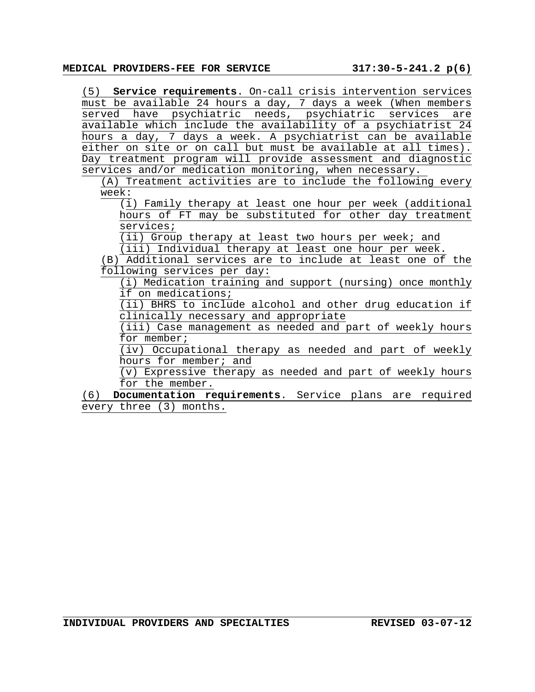(5) **Service requirements**. On-call crisis intervention services must be available 24 hours a day, 7 days a week (When members served have psychiatric needs, psychiatric services are available which include the availability of a psychiatrist 24 hours a day, 7 days a week. A psychiatrist can be available either on site or on call but must be available at all times). Day treatment program will provide assessment and diagnostic services and/or medication monitoring, when necessary.

(A) Treatment activities are to include the following every week:

(i) Family therapy at least one hour per week (additional hours of FT may be substituted for other day treatment services;

(ii) Group therapy at least two hours per week; and

(iii) Individual therapy at least one hour per week.

(B) Additional services are to include at least one of the following services per day:

(i) Medication training and support (nursing) once monthly if on medications;

(ii) BHRS to include alcohol and other drug education if clinically necessary and appropriate

(iii) Case management as needed and part of weekly hours for member;

(iv) Occupational therapy as needed and part of weekly hours for member; and

(v) Expressive therapy as needed and part of weekly hours for the member.

(6) **Documentation requirements**. Service plans are required every three (3) months.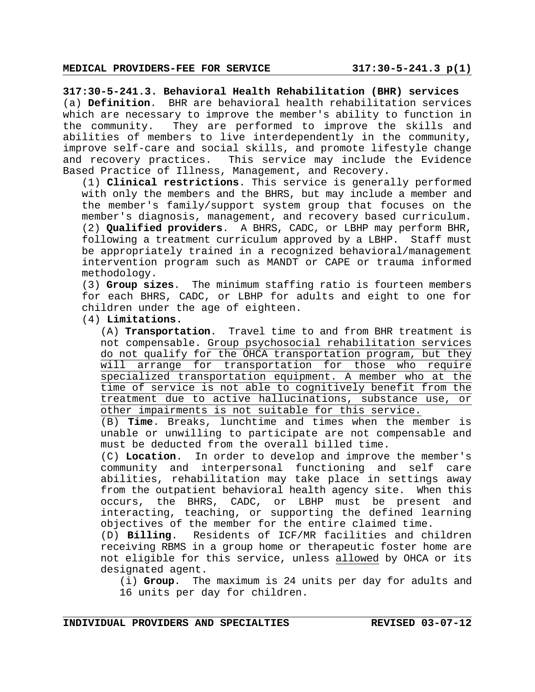**317:30-5-241.3. Behavioral Health Rehabilitation (BHR) services** (a) **Definition**. BHR are behavioral health rehabilitation services which are necessary to improve the member's ability to function in the community. They are performed to improve the skills and abilities of members to live interdependently in the community, improve self-care and social skills, and promote lifestyle change and recovery practices. This service may include the Evidence Based Practice of Illness, Management, and Recovery.

(1) **Clinical restrictions**. This service is generally performed with only the members and the BHRS, but may include a member and the member's family/support system group that focuses on the member's diagnosis, management, and recovery based curriculum. (2) **Qualified providers**. A BHRS, CADC, or LBHP may perform BHR, following a treatment curriculum approved by a LBHP. Staff must be appropriately trained in a recognized behavioral/management intervention program such as MANDT or CAPE or trauma informed methodology.

(3) **Group sizes**. The minimum staffing ratio is fourteen members for each BHRS, CADC, or LBHP for adults and eight to one for children under the age of eighteen.

(4) **Limitations.** 

(A) **Transportation**. Travel time to and from BHR treatment is not compensable. Group psychosocial rehabilitation services do not qualify for the OHCA transportation program, but they will arrange for transportation for those who require specialized transportation equipment. A member who at the time of service is not able to cognitively benefit from the treatment due to active hallucinations, substance use, or other impairments is not suitable for this service.

(B) **Time**. Breaks, lunchtime and times when the member is unable or unwilling to participate are not compensable and must be deducted from the overall billed time.

(C) **Location**. In order to develop and improve the member's community and interpersonal functioning and self care abilities, rehabilitation may take place in settings away from the outpatient behavioral health agency site. When this occurs, the BHRS, CADC, or LBHP must be present and interacting, teaching, or supporting the defined learning objectives of the member for the entire claimed time.

(D) **Billing**. Residents of ICF/MR facilities and children receiving RBMS in a group home or therapeutic foster home are not eligible for this service, unless allowed by OHCA or its designated agent.

(i) **Group**. The maximum is 24 units per day for adults and 16 units per day for children.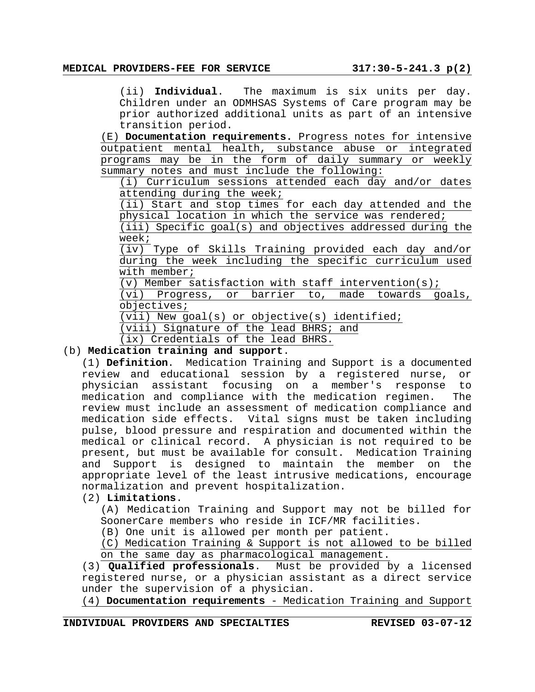(ii) **Individual**. The maximum is six units per day. Children under an ODMHSAS Systems of Care program may be prior authorized additional units as part of an intensive transition period.

(E) **Documentation requirements.** Progress notes for intensive outpatient mental health, substance abuse or integrated programs may be in the form of daily summary or weekly summary notes and must include the following:

(i) Curriculum sessions attended each day and/or dates attending during the week;

(ii) Start and stop times for each day attended and the physical location in which the service was rendered;

(iii) Specific goal(s) and objectives addressed during the week;

(iv) Type of Skills Training provided each day and/or during the week including the specific curriculum used with member;

(v) Member satisfaction with staff intervention(s);

(vi) Progress, or barrier to, made towards goals, objectives;

(vii) New goal(s) or objective(s) identified;

(viii) Signature of the lead BHRS; and

(ix) Credentials of the lead BHRS.

# (b) **Medication training and support**.

(1) **Definition**. Medication Training and Support is a documented review and educational session by a registered nurse, or physician assistant focusing on a member's response to medication and compliance with the medication regimen. The review must include an assessment of medication compliance and medication side effects. Vital signs must be taken including pulse, blood pressure and respiration and documented within the medical or clinical record. A physician is not required to be present, but must be available for consult. Medication Training and Support is designed to maintain the member on the appropriate level of the least intrusive medications, encourage normalization and prevent hospitalization.

## (2) **Limitations**.

(A) Medication Training and Support may not be billed for SoonerCare members who reside in ICF/MR facilities.

(B) One unit is allowed per month per patient.

(C) Medication Training & Support is not allowed to be billed on the same day as pharmacological management.

(3) **Qualified professionals**. Must be provided by a licensed registered nurse, or a physician assistant as a direct service under the supervision of a physician.

(4) **Documentation requirements** - Medication Training and Support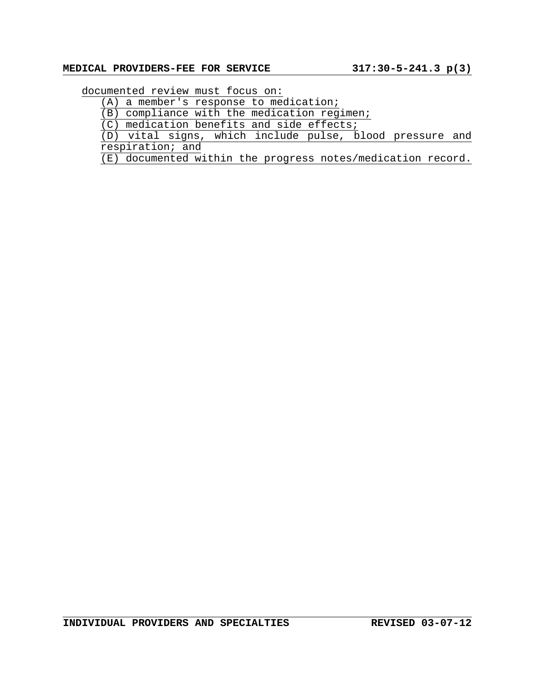# **MEDICAL PROVIDERS-FEE FOR SERVICE 317:30-5-241.3 p(3)**

documented review must focus on:

(A) a member's response to medication;

(B) compliance with the medication regimen;

(C) medication benefits and side effects;

(D) vital signs, which include pulse, blood pressure and respiration; and

(E) documented within the progress notes/medication record.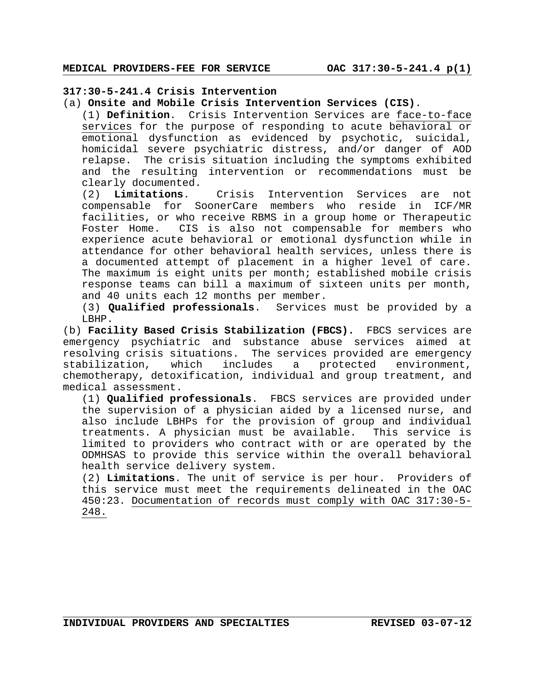# **317:30-5-241.4 Crisis Intervention**

(a) **Onsite and Mobile Crisis Intervention Services (CIS)**.

(1) **Definition**. Crisis Intervention Services are face-to-face services for the purpose of responding to acute behavioral or emotional dysfunction as evidenced by psychotic, suicidal, homicidal severe psychiatric distress, and/or danger of AOD relapse. The crisis situation including the symptoms exhibited and the resulting intervention or recommendations must be clearly documented.

(2) **Limitations**. Crisis Intervention Services are not compensable for SoonerCare members who reside in ICF/MR facilities, or who receive RBMS in a group home or Therapeutic Foster Home. CIS is also not compensable for members who experience acute behavioral or emotional dysfunction while in attendance for other behavioral health services, unless there is a documented attempt of placement in a higher level of care. The maximum is eight units per month; established mobile crisis response teams can bill a maximum of sixteen units per month, and 40 units each 12 months per member.

(3) **Qualified professionals**. Services must be provided by a LBHP.

(b) **Facility Based Crisis Stabilization (FBCS).** FBCS services are emergency psychiatric and substance abuse services aimed at resolving crisis situations. The services provided are emergency stabilization, which includes a protected environment, chemotherapy, detoxification, individual and group treatment, and medical assessment.

(1) **Qualified professionals**. FBCS services are provided under the supervision of a physician aided by a licensed nurse, and also include LBHPs for the provision of group and individual treatments. A physician must be available. This service is limited to providers who contract with or are operated by the ODMHSAS to provide this service within the overall behavioral health service delivery system.

(2) **Limitations**. The unit of service is per hour. Providers of this service must meet the requirements delineated in the OAC 450:23. Documentation of records must comply with OAC 317:30-5- 248.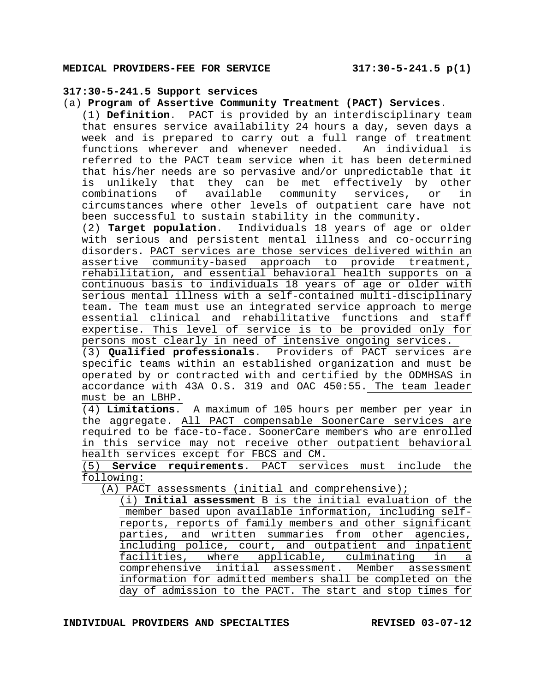# **317:30-5-241.5 Support services**

(a) **Program of Assertive Community Treatment (PACT) Services**.

(1) **Definition**. PACT is provided by an interdisciplinary team that ensures service availability 24 hours a day, seven days a week and is prepared to carry out a full range of treatment functions wherever and whenever needed. An individual is referred to the PACT team service when it has been determined that his/her needs are so pervasive and/or unpredictable that it is unlikely that they can be met effectively by other combinations of available community services, or in circumstances where other levels of outpatient care have not been successful to sustain stability in the community.

(2) **Target population**. Individuals 18 years of age or older with serious and persistent mental illness and co-occurring disorders. PACT services are those services delivered within an assertive community-based approach to provide treatment, rehabilitation, and essential behavioral health supports on a continuous basis to individuals 18 years of age or older with serious mental illness with a self-contained multi-disciplinary team. The team must use an integrated service approach to merge essential clinical and rehabilitative functions and staff expertise. This level of service is to be provided only for persons most clearly in need of intensive ongoing services.

(3) **Qualified professionals**. Providers of PACT services are specific teams within an established organization and must be operated by or contracted with and certified by the ODMHSAS in accordance with 43A O.S. 319 and OAC 450:55. The team leader must be an LBHP.

(4) **Limitations**. A maximum of 105 hours per member per year in the aggregate. All PACT compensable SoonerCare services are required to be face-to-face. SoonerCare members who are enrolled in this service may not receive other outpatient behavioral health services except for FBCS and CM.

(5) **Service requirements**. PACT services must include the following:

(A) PACT assessments (initial and comprehensive);

(i) **Initial assessment** B is the initial evaluation of the member based upon available information, including selfreports, reports of family members and other significant parties, and written summaries from other agencies, including police, court, and outpatient and inpatient facilities, where applicable, culminating in a comprehensive initial assessment. Member assessment information for admitted members shall be completed on the day of admission to the PACT. The start and stop times for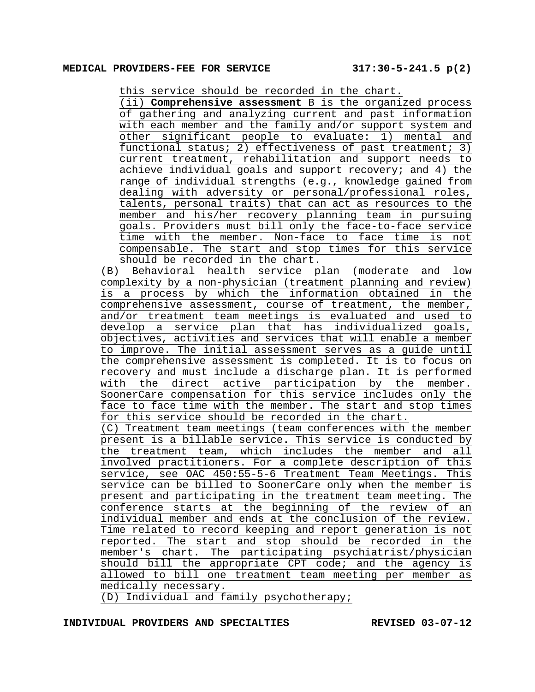this service should be recorded in the chart.

(ii) **Comprehensive assessment** B is the organized process of gathering and analyzing current and past information with each member and the family and/or support system and other significant people to evaluate: 1) mental and functional status; 2) effectiveness of past treatment; 3) current treatment, rehabilitation and support needs to achieve individual goals and support recovery; and 4) the range of individual strengths (e.g., knowledge gained from dealing with adversity or personal/professional roles, talents, personal traits) that can act as resources to the member and his/her recovery planning team in pursuing goals. Providers must bill only the face-to-face service time with the member. Non-face to face time is not compensable. The start and stop times for this service should be recorded in the chart.

(B) Behavioral health service plan (moderate and low complexity by a non-physician (treatment planning and review) is a process by which the information obtained in the comprehensive assessment, course of treatment, the member, and/or treatment team meetings is evaluated and used to develop a service plan that has individualized goals, objectives, activities and services that will enable a member to improve. The initial assessment serves as a guide until the comprehensive assessment is completed. It is to focus on recovery and must include a discharge plan. It is performed with the direct active participation by the member. SoonerCare compensation for this service includes only the face to face time with the member. The start and stop times for this service should be recorded in the chart. (C) Treatment team meetings (team conferences with the member present is a billable service**.** This service is conducted by the treatment team, which includes the member and all involved practitioners. For a complete description of this service, see OAC 450:55-5-6 Treatment Team Meetings. This service can be billed to SoonerCare only when the member is present and participating in the treatment team meeting. The conference starts at the beginning of the review of an individual member and ends at the conclusion of the review. Time related to record keeping and report generation is not reported. The start and stop should be recorded in the member's chart. The participating psychiatrist/physician should bill the appropriate CPT code; and the agency is allowed to bill one treatment team meeting per member as medically necessary.

(D) Individual and family psychotherapy;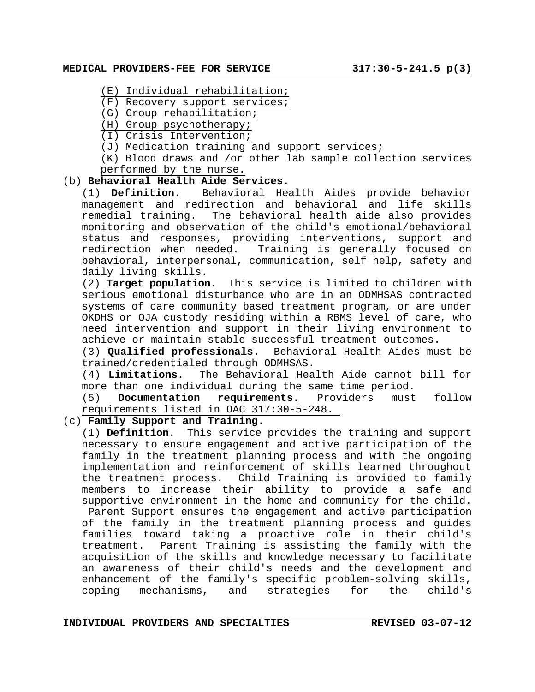- (E) Individual rehabilitation;
- (F) Recovery support services;
- (G) Group rehabilitation;
- (H) Group psychotherapy;
- (I) Crisis Intervention;
- (J) Medication training and support services;

 $(K)$  Blood draws and /or other lab sample collection services performed by the nurse.

# (b) **Behavioral Health Aide Services**.

(1) **Definition**. Behavioral Health Aides provide behavior management and redirection and behavioral and life skills The behavioral health aide also provides monitoring and observation of the child's emotional/behavioral status and responses, providing interventions, support and redirection when needed. Training is generally focused on behavioral, interpersonal, communication, self help, safety and daily living skills.

(2) **Target population**. This service is limited to children with serious emotional disturbance who are in an ODMHSAS contracted systems of care community based treatment program, or are under OKDHS or OJA custody residing within a RBMS level of care, who need intervention and support in their living environment to achieve or maintain stable successful treatment outcomes.

(3) **Qualified professionals**. Behavioral Health Aides must be trained/credentialed through ODMHSAS.

(4) **Limitations**. The Behavioral Health Aide cannot bill for more than one individual during the same time period.

(5) **Documentation requirements.** Providers must follow requirements listed in OAC 317:30-5-248.

(c) **Family Support and Training**.

(1) **Definition**. This service provides the training and support necessary to ensure engagement and active participation of the family in the treatment planning process and with the ongoing implementation and reinforcement of skills learned throughout the treatment process. Child Training is provided to family members to increase their ability to provide a safe and supportive environment in the home and community for the child. Parent Support ensures the engagement and active participation of the family in the treatment planning process and guides families toward taking a proactive role in their child's treatment. Parent Training is assisting the family with the acquisition of the skills and knowledge necessary to facilitate an awareness of their child's needs and the development and enhancement of the family's specific problem-solving skills, coping mechanisms, and strategies for the child's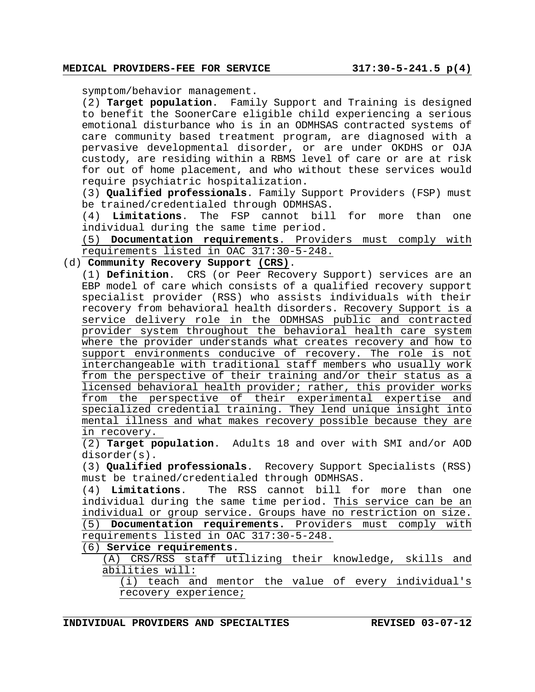symptom/behavior management.

(2) **Target population**. Family Support and Training is designed to benefit the SoonerCare eligible child experiencing a serious emotional disturbance who is in an ODMHSAS contracted systems of care community based treatment program, are diagnosed with a pervasive developmental disorder, or are under OKDHS or OJA custody, are residing within a RBMS level of care or are at risk for out of home placement, and who without these services would require psychiatric hospitalization.

(3) **Qualified professionals**. Family Support Providers (FSP) must be trained/credentialed through ODMHSAS.

(4) **Limitations**. The FSP cannot bill for more than one individual during the same time period.

(5) **Documentation requirements**. Providers must comply with requirements listed in OAC 317:30-5-248.

#### (d) **Community Recovery Support (CRS)**.

(1) **Definition**. CRS (or Peer Recovery Support) services are an EBP model of care which consists of a qualified recovery support specialist provider (RSS) who assists individuals with their recovery from behavioral health disorders. Recovery Support is a service delivery role in the ODMHSAS public and contracted provider system throughout the behavioral health care system where the provider understands what creates recovery and how to support environments conducive of recovery. The role is not interchangeable with traditional staff members who usually work from the perspective of their training and/or their status as a licensed behavioral health provider; rather, this provider works from the perspective of their experimental expertise and specialized credential training. They lend unique insight into mental illness and what makes recovery possible because they are in recovery.

(2) **Target population**. Adults 18 and over with SMI and/or AOD disorder(s).

(3) **Qualified professionals**. Recovery Support Specialists (RSS) must be trained/credentialed through ODMHSAS.

(4) **Limitations**. The RSS cannot bill for more than one individual during the same time period. This service can be an individual or group service. Groups have no restriction on size. (5) **Documentation requirements.** Providers must comply with requirements listed in OAC 317:30-5-248.

(6) **Service requirements**.

(A) CRS/RSS staff utilizing their knowledge, skills and abilities will:

(i) teach and mentor the value of every individual's recovery experience;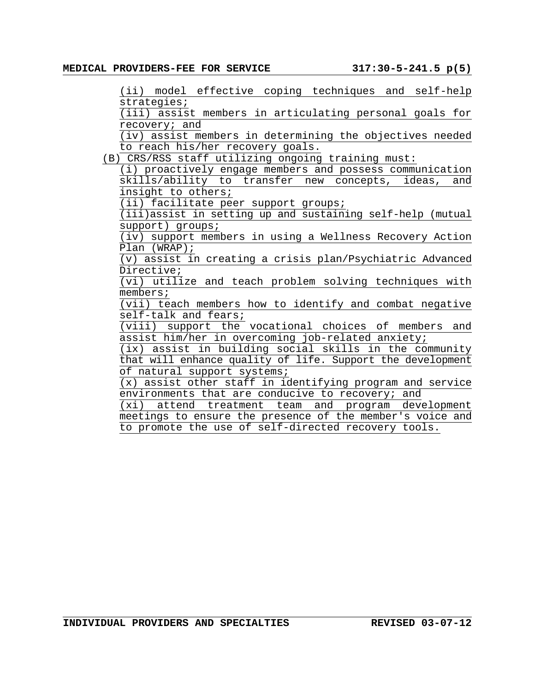(ii) model effective coping techniques and self-help strategies;

(iii) assist members in articulating personal goals for recovery; and

(iv) assist members in determining the objectives needed to reach his/her recovery goals.

(B) CRS/RSS staff utilizing ongoing training must:

(i) proactively engage members and possess communication skills/ability to transfer new concepts, ideas, and insight to others;

 $\overline{(\texttt{ii})}$  facilitate peer support groups;

(iii)assist in setting up and sustaining self-help (mutual support) groups;

(iv) support members in using a Wellness Recovery Action Plan (WRAP);

(v) assist in creating a crisis plan/Psychiatric Advanced Directive;

(vi) utilize and teach problem solving techniques with members;

(vii) teach members how to identify and combat negative self-talk and fears;

(viii) support the vocational choices of members and assist him/her in overcoming job-related anxiety;

(ix) assist in building social skills in the community that will enhance quality of life. Support the development of natural support systems;

(x) assist other staff in identifying program and service environments that are conducive to recovery; and

(xi) attend treatment team and program development meetings to ensure the presence of the member's voice and to promote the use of self-directed recovery tools.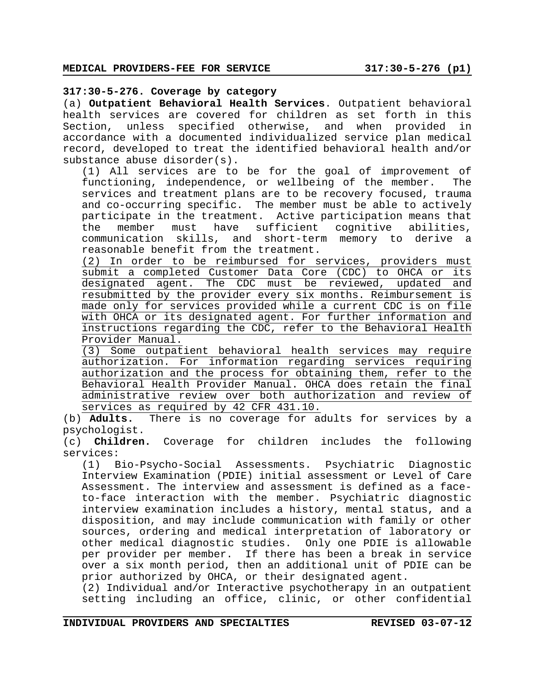## **317:30-5-276. Coverage by category**

(a) **Outpatient Behavioral Health Services**. Outpatient behavioral health services are covered for children as set forth in this Section, unless specified otherwise, and when provided in accordance with a documented individualized service plan medical record, developed to treat the identified behavioral health and/or substance abuse disorder(s).

(1) All services are to be for the goal of improvement of functioning, independence, or wellbeing of the member. The services and treatment plans are to be recovery focused, trauma and co-occurring specific. The member must be able to actively participate in the treatment. Active participation means that the member must have sufficient cognitive abilities, communication skills, and short-term memory to derive a reasonable benefit from the treatment.

(2) In order to be reimbursed for services, providers must submit a completed Customer Data Core (CDC) to OHCA or its designated agent. The CDC must be reviewed, updated and resubmitted by the provider every six months. Reimbursement is made only for services provided while a current CDC is on file with OHCA or its designated agent. For further information and instructions regarding the CDC, refer to the Behavioral Health Provider Manual.

(3) Some outpatient behavioral health services may require authorization. For information regarding services requiring authorization and the process for obtaining them, refer to the Behavioral Health Provider Manual. OHCA does retain the final administrative review over both authorization and review of services as required by 42 CFR 431.10.

(b) **Adults.** There is no coverage for adults for services by a psychologist.

(c) **Children.** Coverage for children includes the following services:

(1) Bio-Psycho-Social Assessments. Psychiatric Diagnostic Interview Examination (PDIE) initial assessment or Level of Care Assessment. The interview and assessment is defined as a faceto-face interaction with the member. Psychiatric diagnostic interview examination includes a history, mental status, and a disposition, and may include communication with family or other sources, ordering and medical interpretation of laboratory or other medical diagnostic studies. Only one PDIE is allowable per provider per member. If there has been a break in service over a six month period, then an additional unit of PDIE can be prior authorized by OHCA, or their designated agent.

(2) Individual and/or Interactive psychotherapy in an outpatient setting including an office, clinic, or other confidential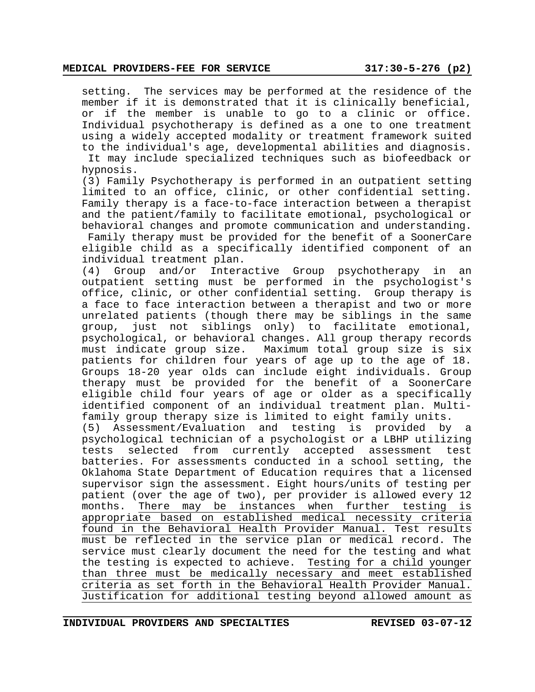setting. The services may be performed at the residence of the member if it is demonstrated that it is clinically beneficial, or if the member is unable to go to a clinic or office. Individual psychotherapy is defined as a one to one treatment using a widely accepted modality or treatment framework suited to the individual's age, developmental abilities and diagnosis.

It may include specialized techniques such as biofeedback or hypnosis.

(3) Family Psychotherapy is performed in an outpatient setting limited to an office, clinic, or other confidential setting. Family therapy is a face-to-face interaction between a therapist and the patient/family to facilitate emotional, psychological or behavioral changes and promote communication and understanding.

 Family therapy must be provided for the benefit of a SoonerCare eligible child as a specifically identified component of an individual treatment plan.

(4) Group and/or Interactive Group psychotherapy in an outpatient setting must be performed in the psychologist's office, clinic, or other confidential setting. Group therapy is a face to face interaction between a therapist and two or more unrelated patients (though there may be siblings in the same group, just not siblings only) to facilitate emotional, psychological, or behavioral changes. All group therapy records must indicate group size. Maximum total group size is six patients for children four years of age up to the age of 18. Groups 18-20 year olds can include eight individuals. Group therapy must be provided for the benefit of a SoonerCare eligible child four years of age or older as a specifically identified component of an individual treatment plan. Multifamily group therapy size is limited to eight family units.

(5) Assessment/Evaluation and testing is provided by a psychological technician of a psychologist or a LBHP utilizing tests selected from currently accepted assessment test batteries. For assessments conducted in a school setting, the Oklahoma State Department of Education requires that a licensed supervisor sign the assessment. Eight hours/units of testing per patient (over the age of two), per provider is allowed every 12 months. There may be instances when further testing is appropriate based on established medical necessity criteria found in the Behavioral Health Provider Manual. Test results must be reflected in the service plan or medical record. The service must clearly document the need for the testing and what the testing is expected to achieve. Testing for a child younger than three must be medically necessary and meet established criteria as set forth in the Behavioral Health Provider Manual. Justification for additional testing beyond allowed amount as

**INDIVIDUAL PROVIDERS AND SPECIALTIES REVISED 03-07-12**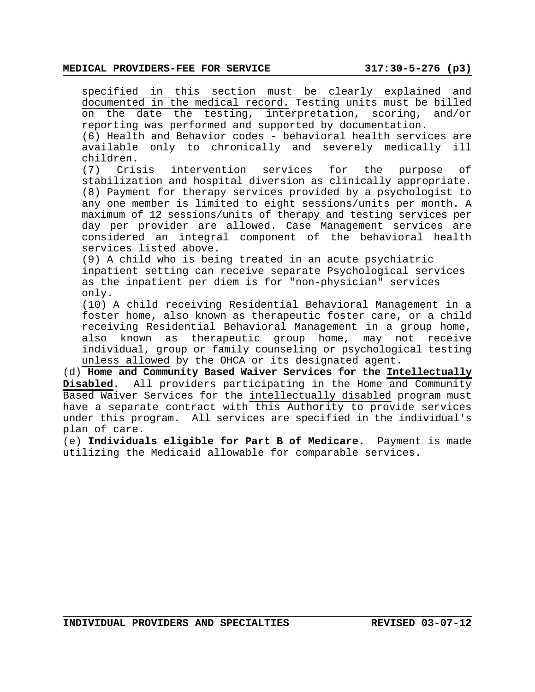specified in this section must be clearly explained and documented in the medical record. Testing units must be billed on the date the testing, interpretation, scoring, and/or reporting was performed and supported by documentation.

(6) Health and Behavior codes - behavioral health services are available only to chronically and severely medically ill children.

(7) Crisis intervention services for the purpose of stabilization and hospital diversion as clinically appropriate. (8) Payment for therapy services provided by a psychologist to any one member is limited to eight sessions/units per month. A maximum of 12 sessions/units of therapy and testing services per day per provider are allowed. Case Management services are considered an integral component of the behavioral health services listed above.

(9) A child who is being treated in an acute psychiatric inpatient setting can receive separate Psychological services as the inpatient per diem is for "non-physician" services only.

(10) A child receiving Residential Behavioral Management in a foster home, also known as therapeutic foster care, or a child receiving Residential Behavioral Management in a group home, also known as therapeutic group home, may not receive individual, group or family counseling or psychological testing unless allowed by the OHCA or its designated agent.

(d) **Home and Community Based Waiver Services for the Intellectually Disabled.** All providers participating in the Home and Community Based Waiver Services for the intellectually disabled program must have a separate contract with this Authority to provide services under this program. All services are specified in the individual's plan of care.

(e) **Individuals eligible for Part B of Medicare.** Payment is made utilizing the Medicaid allowable for comparable services.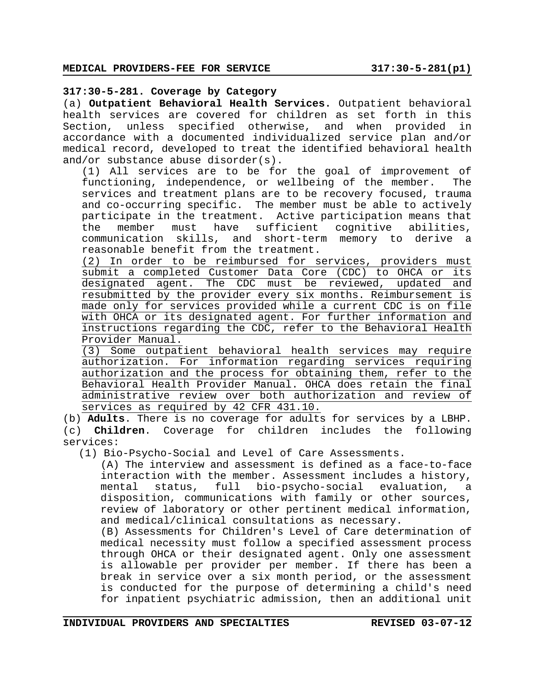#### **317:30-5-281. Coverage by Category**

(a) **Outpatient Behavioral Health Services.** Outpatient behavioral health services are covered for children as set forth in this Section, unless specified otherwise, and when provided in accordance with a documented individualized service plan and/or medical record, developed to treat the identified behavioral health and/or substance abuse disorder(s).

(1) All services are to be for the goal of improvement of functioning, independence, or wellbeing of the member. The services and treatment plans are to be recovery focused, trauma and co-occurring specific. The member must be able to actively participate in the treatment. Active participation means that the member must have sufficient cognitive abilities, communication skills, and short-term memory to derive a reasonable benefit from the treatment.

(2) In order to be reimbursed for services, providers must submit a completed Customer Data Core (CDC) to OHCA or its designated agent. The CDC must be reviewed, updated and resubmitted by the provider every six months. Reimbursement is made only for services provided while a current CDC is on file with OHCA or its designated agent. For further information and instructions regarding the CDC, refer to the Behavioral Health Provider Manual.

(3) Some outpatient behavioral health services may require authorization. For information regarding services requiring authorization and the process for obtaining them, refer to the Behavioral Health Provider Manual. OHCA does retain the final administrative review over both authorization and review of services as required by 42 CFR 431.10.

(b) **Adults**. There is no coverage for adults for services by a LBHP. (c) **Children**. Coverage for children includes the following services:

(1) Bio-Psycho-Social and Level of Care Assessments.

(A) The interview and assessment is defined as a face-to-face interaction with the member. Assessment includes a history, mental status, full bio-psycho-social evaluation, a disposition, communications with family or other sources, review of laboratory or other pertinent medical information, and medical/clinical consultations as necessary.

(B) Assessments for Children's Level of Care determination of medical necessity must follow a specified assessment process through OHCA or their designated agent. Only one assessment is allowable per provider per member. If there has been a break in service over a six month period, or the assessment is conducted for the purpose of determining a child's need for inpatient psychiatric admission, then an additional unit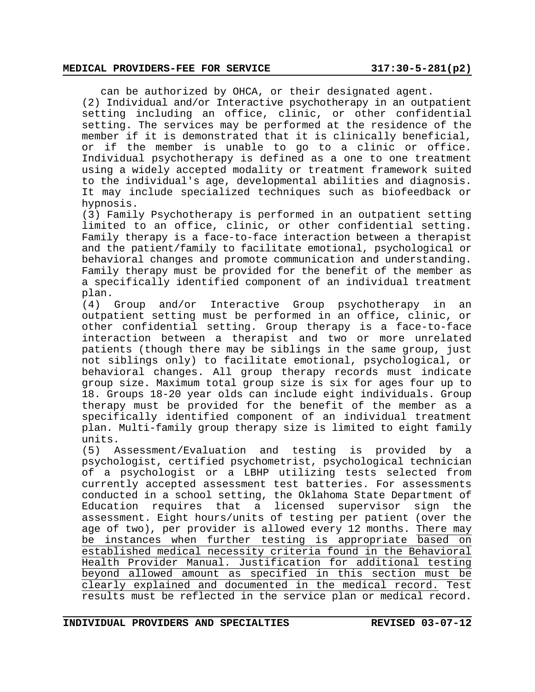#### **MEDICAL PROVIDERS-FEE FOR SERVICE 317:30-5-281(p2)**

can be authorized by OHCA, or their designated agent.

(2) Individual and/or Interactive psychotherapy in an outpatient setting including an office, clinic, or other confidential setting. The services may be performed at the residence of the member if it is demonstrated that it is clinically beneficial, or if the member is unable to go to a clinic or office. Individual psychotherapy is defined as a one to one treatment using a widely accepted modality or treatment framework suited to the individual's age, developmental abilities and diagnosis. It may include specialized techniques such as biofeedback or hypnosis.

(3) Family Psychotherapy is performed in an outpatient setting limited to an office, clinic, or other confidential setting. Family therapy is a face-to-face interaction between a therapist and the patient/family to facilitate emotional, psychological or behavioral changes and promote communication and understanding. Family therapy must be provided for the benefit of the member as a specifically identified component of an individual treatment plan.

(4) Group and/or Interactive Group psychotherapy in an outpatient setting must be performed in an office, clinic, or other confidential setting. Group therapy is a face-to-face interaction between a therapist and two or more unrelated patients (though there may be siblings in the same group, just not siblings only) to facilitate emotional, psychological, or behavioral changes. All group therapy records must indicate group size. Maximum total group size is six for ages four up to 18. Groups 18-20 year olds can include eight individuals. Group therapy must be provided for the benefit of the member as a specifically identified component of an individual treatment plan. Multi-family group therapy size is limited to eight family units.<br>(5) Assessment/Evaluation and

(5) Assessment/Evaluation and testing is provided by a psychologist, certified psychometrist, psychological technician of a psychologist or a LBHP utilizing tests selected from currently accepted assessment test batteries. For assessments conducted in a school setting, the Oklahoma State Department of Education requires that a licensed supervisor sign the assessment. Eight hours/units of testing per patient (over the age of two), per provider is allowed every 12 months. There may be instances when further testing is appropriate based on established medical necessity criteria found in the Behavioral Health Provider Manual. Justification for additional testing beyond allowed amount as specified in this section must be clearly explained and documented in the medical record. Test results must be reflected in the service plan or medical record.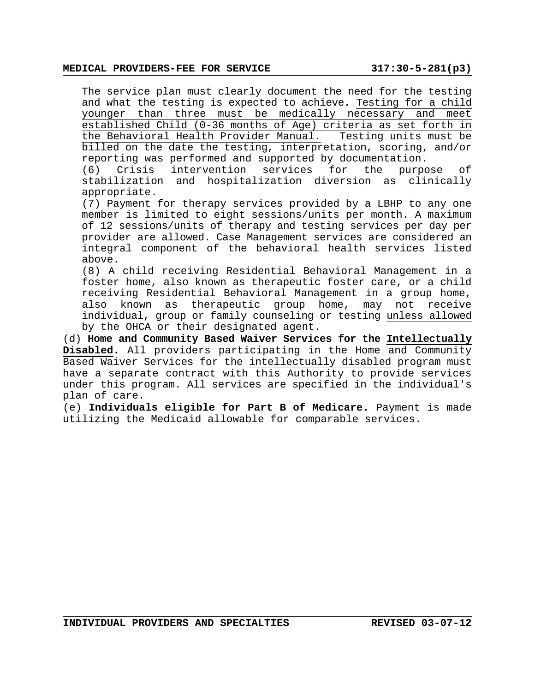#### **MEDICAL PROVIDERS-FEE FOR SERVICE 317:30-5-281(p3)**

The service plan must clearly document the need for the testing and what the testing is expected to achieve. Testing for a child younger than three must be medically necessary and meet established Child (0-36 months of Age) criteria as set forth in the Behavioral Health Provider Manual. Testing units must be billed on the date the testing, interpretation, scoring, and/or reporting was performed and supported by documentation.

(6) Crisis intervention services for the purpose of stabilization and hospitalization diversion as clinically appropriate.

(7) Payment for therapy services provided by a LBHP to any one member is limited to eight sessions/units per month. A maximum of 12 sessions/units of therapy and testing services per day per provider are allowed. Case Management services are considered an integral component of the behavioral health services listed above.

(8) A child receiving Residential Behavioral Management in a foster home, also known as therapeutic foster care, or a child receiving Residential Behavioral Management in a group home, also known as therapeutic group home, may not receive individual, group or family counseling or testing unless allowed by the OHCA or their designated agent.

(d) **Home and Community Based Waiver Services for the Intellectually Disabled.** All providers participating in the Home and Community Based Waiver Services for the intellectually disabled program must have a separate contract with this Authority to provide services under this program. All services are specified in the individual's plan of care.

(e) **Individuals eligible for Part B of Medicare.** Payment is made utilizing the Medicaid allowable for comparable services.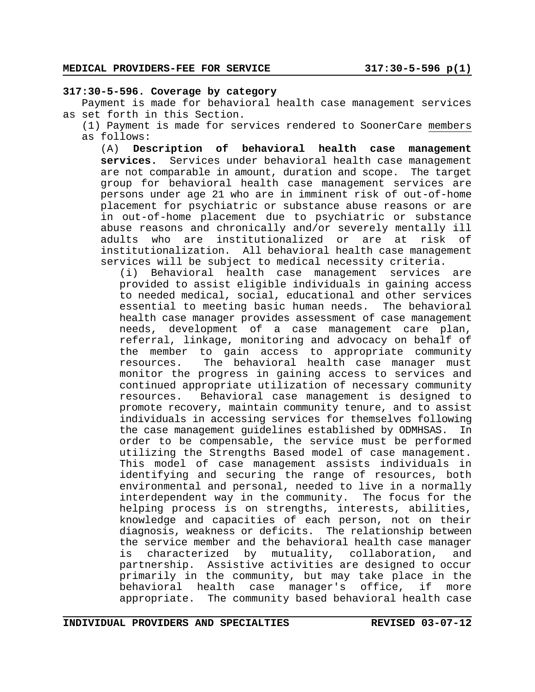#### **317:30-5-596. Coverage by category**

Payment is made for behavioral health case management services as set forth in this Section.

(1) Payment is made for services rendered to SoonerCare members as follows:

(A) **Description of behavioral health case management services.** Services under behavioral health case management are not comparable in amount, duration and scope. The target group for behavioral health case management services are persons under age 21 who are in imminent risk of out-of-home placement for psychiatric or substance abuse reasons or are in out-of-home placement due to psychiatric or substance abuse reasons and chronically and/or severely mentally ill adults who are institutionalized or are at risk of institutionalization. All behavioral health case management services will be subject to medical necessity criteria.

(i) Behavioral health case management services are provided to assist eligible individuals in gaining access to needed medical, social, educational and other services essential to meeting basic human needs. The behavioral health case manager provides assessment of case management needs, development of a case management care plan, referral, linkage, monitoring and advocacy on behalf of the member to gain access to appropriate community resources. The behavioral health case manager must monitor the progress in gaining access to services and continued appropriate utilization of necessary community resources. Behavioral case management is designed to promote recovery, maintain community tenure, and to assist individuals in accessing services for themselves following the case management guidelines established by ODMHSAS. In order to be compensable, the service must be performed utilizing the Strengths Based model of case management. This model of case management assists individuals in identifying and securing the range of resources, both environmental and personal, needed to live in a normally interdependent way in the community. The focus for the helping process is on strengths, interests, abilities, knowledge and capacities of each person, not on their diagnosis, weakness or deficits. The relationship between the service member and the behavioral health case manager is characterized by mutuality, collaboration, and partnership. Assistive activities are designed to occur primarily in the community, but may take place in the behavioral health case manager's office, if more appropriate. The community based behavioral health case

**INDIVIDUAL PROVIDERS AND SPECIALTIES REVISED 03-07-12**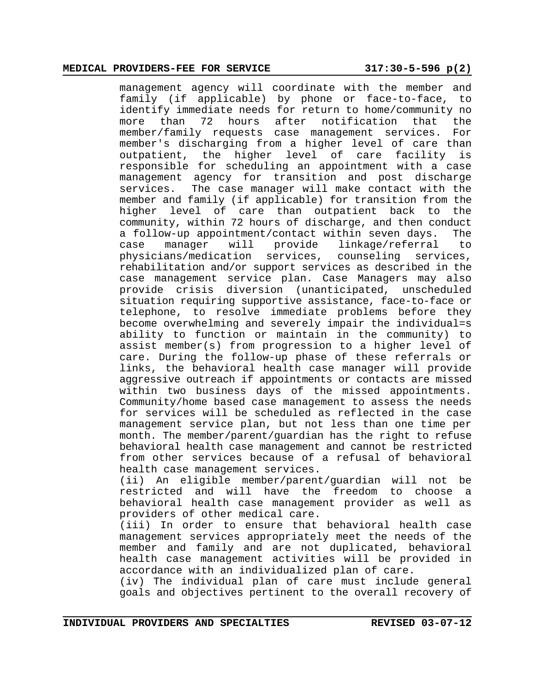#### **MEDICAL PROVIDERS-FEE FOR SERVICE 317:30-5-596 p(2)**

management agency will coordinate with the member and family (if applicable) by phone or face-to-face, to identify immediate needs for return to home/community no more than 72 hours after notification that the member/family requests case management services. For member's discharging from a higher level of care than outpatient, the higher level of care facility is responsible for scheduling an appointment with a case management agency for transition and post discharge services. The case manager will make contact with the member and family (if applicable) for transition from the higher level of care than outpatient back to the community, within 72 hours of discharge, and then conduct a follow-up appointment/contact within seven days. The case manager will provide linkage/referral to physicians/medication services, counseling services, rehabilitation and/or support services as described in the case management service plan. Case Managers may also provide crisis diversion (unanticipated, unscheduled situation requiring supportive assistance, face-to-face or telephone, to resolve immediate problems before they become overwhelming and severely impair the individual=s ability to function or maintain in the community) to assist member(s) from progression to a higher level of care. During the follow-up phase of these referrals or links, the behavioral health case manager will provide aggressive outreach if appointments or contacts are missed within two business days of the missed appointments. Community/home based case management to assess the needs for services will be scheduled as reflected in the case management service plan, but not less than one time per month. The member/parent/guardian has the right to refuse behavioral health case management and cannot be restricted from other services because of a refusal of behavioral health case management services.

(ii) An eligible member/parent/guardian will not be restricted and will have the freedom to choose a behavioral health case management provider as well as providers of other medical care.

(iii) In order to ensure that behavioral health case management services appropriately meet the needs of the member and family and are not duplicated, behavioral health case management activities will be provided in accordance with an individualized plan of care.

(iv) The individual plan of care must include general goals and objectives pertinent to the overall recovery of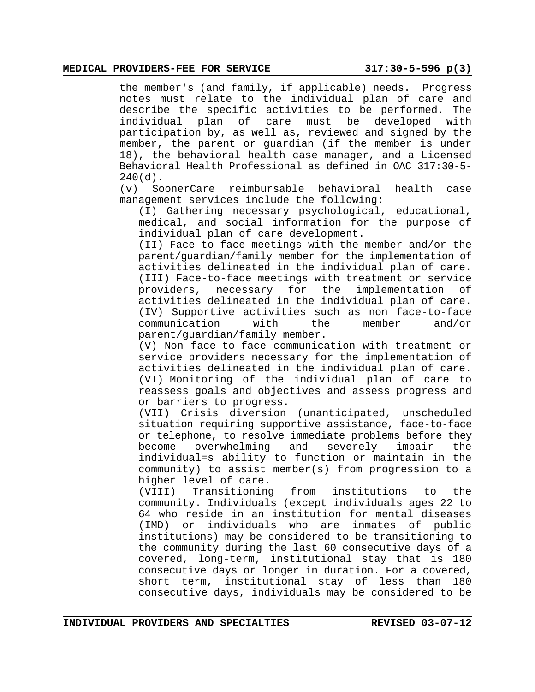#### **MEDICAL PROVIDERS-FEE FOR SERVICE 317:30-5-596 p(3)**

the member's (and family, if applicable) needs. Progress notes must relate to the individual plan of care and describe the specific activities to be performed. The individual plan of care must be developed with participation by, as well as, reviewed and signed by the member, the parent or guardian (if the member is under 18), the behavioral health case manager, and a Licensed Behavioral Health Professional as defined in OAC 317:30-5-  $240(d)$ .

(v) SoonerCare reimbursable behavioral health case management services include the following:

(I) Gathering necessary psychological, educational, medical, and social information for the purpose of individual plan of care development.

(II) Face-to-face meetings with the member and/or the parent/guardian/family member for the implementation of activities delineated in the individual plan of care. (III) Face-to-face meetings with treatment or service providers, necessary for the implementation of activities delineated in the individual plan of care. (IV) Supportive activities such as non face-to-face communication with the member and/or parent/guardian/family member.

(V) Non face-to-face communication with treatment or service providers necessary for the implementation of activities delineated in the individual plan of care. (VI) Monitoring of the individual plan of care to reassess goals and objectives and assess progress and or barriers to progress.

(VII) Crisis diversion (unanticipated, unscheduled situation requiring supportive assistance, face-to-face or telephone, to resolve immediate problems before they become overwhelming and severely impair the individual=s ability to function or maintain in the community) to assist member(s) from progression to a higher level of care.

(VIII) Transitioning from institutions to the community. Individuals (except individuals ages 22 to 64 who reside in an institution for mental diseases (IMD) or individuals who are inmates of public institutions) may be considered to be transitioning to the community during the last 60 consecutive days of a covered, long-term, institutional stay that is 180 consecutive days or longer in duration. For a covered, short term, institutional stay of less than 180 consecutive days, individuals may be considered to be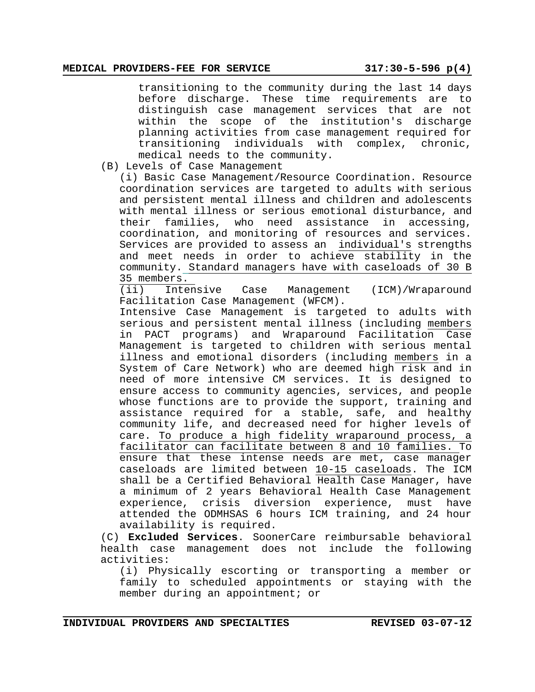transitioning to the community during the last 14 days before discharge. These time requirements are to distinguish case management services that are not within the scope of the institution's discharge planning activities from case management required for transitioning individuals with complex, chronic, medical needs to the community.

(B) Levels of Case Management

(i) Basic Case Management/Resource Coordination. Resource coordination services are targeted to adults with serious and persistent mental illness and children and adolescents with mental illness or serious emotional disturbance, and their families, who need assistance in accessing, coordination, and monitoring of resources and services. Services are provided to assess an individual's strengths and meet needs in order to achieve stability in the community. Standard managers have with caseloads of 30 B  $\frac{35 \text{ members.}}{(\text{ii}) \text{ Intern}}$ 

Intensive Case Management (ICM)/Wraparound Facilitation Case Management (WFCM).

Intensive Case Management is targeted to adults with serious and persistent mental illness (including members in PACT programs) and Wraparound Facilitation Case Management is targeted to children with serious mental illness and emotional disorders (including members in a System of Care Network) who are deemed high risk and in need of more intensive CM services. It is designed to ensure access to community agencies, services, and people whose functions are to provide the support, training and assistance required for a stable, safe, and healthy community life, and decreased need for higher levels of care. To produce a high fidelity wraparound process, a facilitator can facilitate between 8 and 10 families. To ensure that these intense needs are met, case manager caseloads are limited between 10-15 caseloads. The ICM shall be a Certified Behavioral Health Case Manager, have a minimum of 2 years Behavioral Health Case Management experience, crisis diversion experience, must have attended the ODMHSAS 6 hours ICM training, and 24 hour availability is required.

(C) **Excluded Services**. SoonerCare reimbursable behavioral health case management does not include the following activities:

(i) Physically escorting or transporting a member or family to scheduled appointments or staying with the member during an appointment; or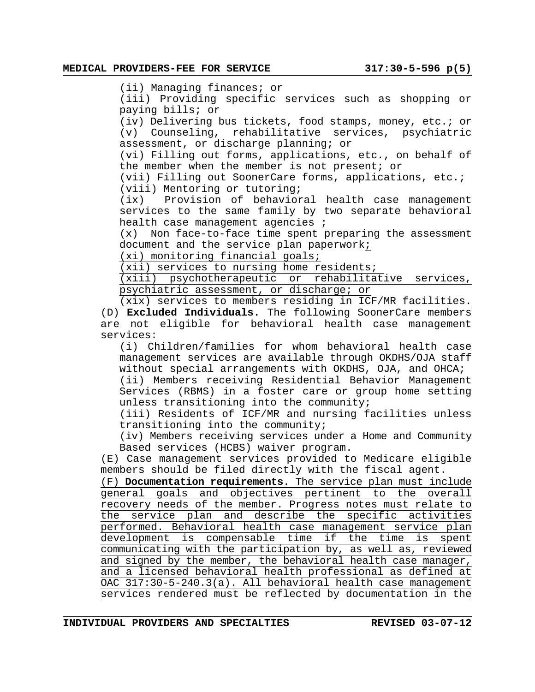(ii) Managing finances; or

(iii) Providing specific services such as shopping or paying bills; or

(iv) Delivering bus tickets, food stamps, money, etc.; or (v) Counseling, rehabilitative services, psychiatric assessment, or discharge planning; or

(vi) Filling out forms, applications, etc., on behalf of the member when the member is not present; or

(vii) Filling out SoonerCare forms, applications, etc.; (viii) Mentoring or tutoring;

(ix) Provision of behavioral health case management services to the same family by two separate behavioral health case management agencies ;

(x) Non face-to-face time spent preparing the assessment document and the service plan paperwork;

(xi) monitoring financial goals;

(xii) services to nursing home residents;

(xiii) psychotherapeutic or rehabilitative services, psychiatric assessment, or discharge; or

(xix) services to members residing in ICF/MR facilities. (D) **Excluded Individuals.** The following SoonerCare members are not eligible for behavioral health case management services:

(i) Children/families for whom behavioral health case management services are available through OKDHS/OJA staff without special arrangements with OKDHS, OJA, and OHCA;

(ii) Members receiving Residential Behavior Management Services (RBMS) in a foster care or group home setting unless transitioning into the community;

(iii) Residents of ICF/MR and nursing facilities unless transitioning into the community;

(iv) Members receiving services under a Home and Community Based services (HCBS) waiver program.

(E) Case management services provided to Medicare eligible members should be filed directly with the fiscal agent.

(F) **Documentation requirements**. The service plan must include general goals and objectives pertinent to the overall recovery needs of the member. Progress notes must relate to the service plan and describe the specific activities performed. Behavioral health case management service plan development is compensable time if the time is spent communicating with the participation by, as well as, reviewed and signed by the member, the behavioral health case manager, and a licensed behavioral health professional as defined at OAC 317:30-5-240.3(a). All behavioral health case management services rendered must be reflected by documentation in the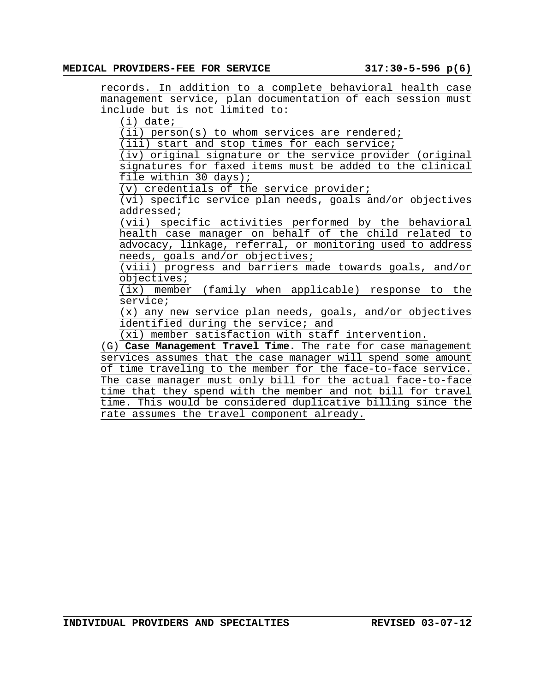records. In addition to a complete behavioral health case management service, plan documentation of each session must include but is not limited to:

(i) date;

(ii) person(s) to whom services are rendered;

(iii) start and stop times for each service;

(iv) original signature or the service provider (original signatures for faxed items must be added to the clinical file within 30 days);

(v) credentials of the service provider;

(vi) specific service plan needs, goals and/or objectives addressed;

(vii) specific activities performed by the behavioral health case manager on behalf of the child related to advocacy, linkage, referral, or monitoring used to address needs, goals and/or objectives;

(viii) progress and barriers made towards goals, and/or objectives;

(ix) member (family when applicable) response to the service;

(x) any new service plan needs, goals, and/or objectives identified during the service; and

(xi) member satisfaction with staff intervention.

(G) **Case Management Travel Time.** The rate for case management services assumes that the case manager will spend some amount of time traveling to the member for the face-to-face service. The case manager must only bill for the actual face-to-face time that they spend with the member and not bill for travel time. This would be considered duplicative billing since the rate assumes the travel component already.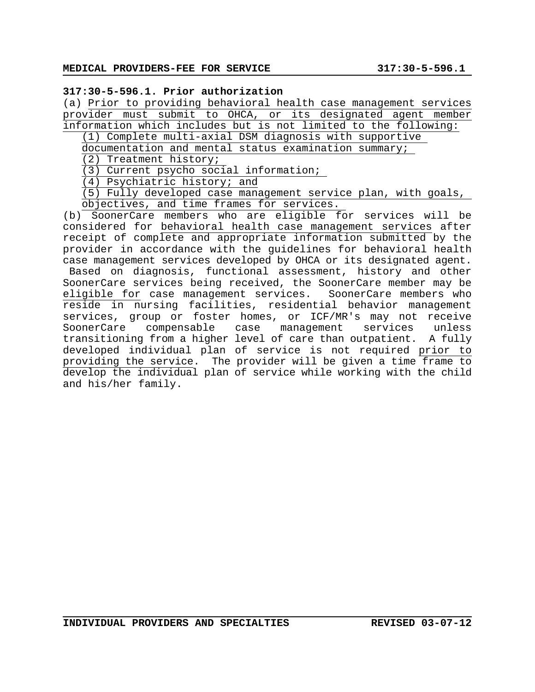## **317:30-5-596.1. Prior authorization**

(a) Prior to providing behavioral health case management services provider must submit to OHCA, or its designated agent member information which includes but is not limited to the following:

(1) Complete multi-axial DSM diagnosis with supportive

documentation and mental status examination summary;

(2) Treatment history;

(3) Current psycho social information;

(4) Psychiatric history; and

(5) Fully developed case management service plan, with goals, objectives, and time frames for services.

(b) SoonerCare members who are eligible for services will be considered for behavioral health case management services after receipt of complete and appropriate information submitted by the provider in accordance with the guidelines for behavioral health case management services developed by OHCA or its designated agent. Based on diagnosis, functional assessment, history and other SoonerCare services being received, the SoonerCare member may be eligible for case management services. SoonerCare members who reside in nursing facilities, residential behavior management services, group or foster homes, or ICF/MR's may not receive<br>SoonerCare compensable case management services unless SoonerCare compensable case management services unless transitioning from a higher level of care than outpatient. A fully developed individual plan of service is not required prior to providing the service. The provider will be given a time frame to develop the individual plan of service while working with the child and his/her family.